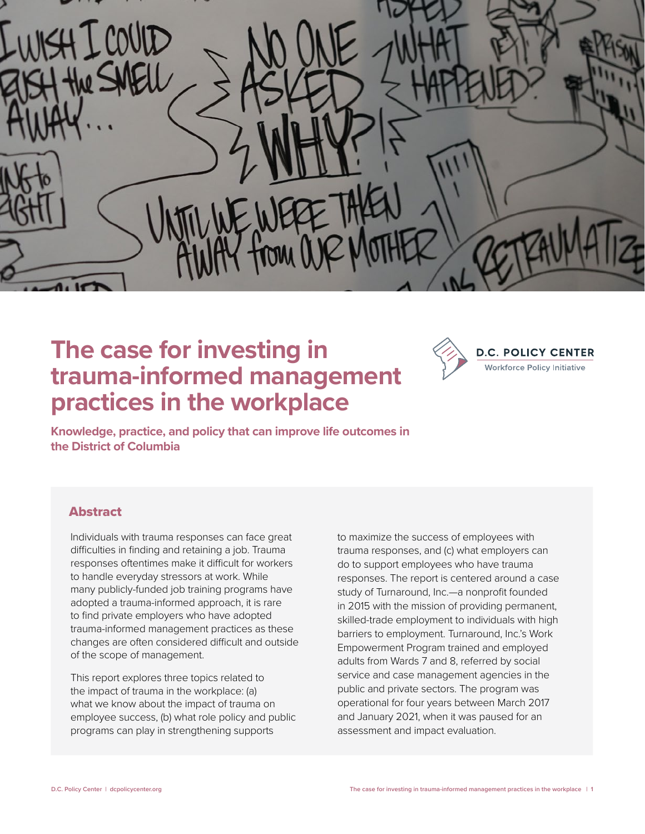

## **The case for investing in trauma-informed management practices in the workplace**



**Knowledge, practice, and policy that can improve life outcomes in the District of Columbia**

## Abstract

Individuals with trauma responses can face great difficulties in finding and retaining a job. Trauma responses oftentimes make it difficult for workers to handle everyday stressors at work. While many publicly-funded job training programs have adopted a trauma-informed approach, it is rare to find private employers who have adopted trauma-informed management practices as these changes are often considered difficult and outside of the scope of management.

This report explores three topics related to the impact of trauma in the workplace: (a) what we know about the impact of trauma on employee success, (b) what role policy and public programs can play in strengthening supports

to maximize the success of employees with trauma responses, and (c) what employers can do to support employees who have trauma responses. The report is centered around a case study of Turnaround, Inc.—a nonprofit founded in 2015 with the mission of providing permanent, skilled-trade employment to individuals with high barriers to employment. Turnaround, Inc.'s Work Empowerment Program trained and employed adults from Wards 7 and 8, referred by social service and case management agencies in the public and private sectors. The program was operational for four years between March 2017 and January 2021, when it was paused for an assessment and impact evaluation.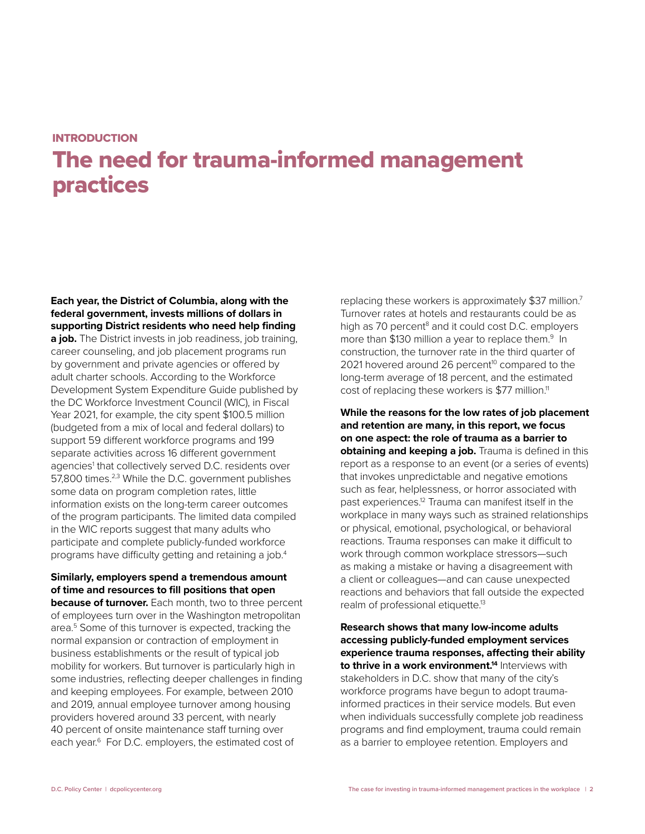#### **INTRODUCTION**

# The need for trauma-informed management practices

**Each year, the District of Columbia, along with the federal government, invests millions of dollars in supporting District residents who need help finding a job.** The District invests in job readiness, job training, career counseling, and job placement programs run by government and private agencies or offered by adult charter schools. According to the Workforce Development System Expenditure Guide published by the DC Workforce Investment Council (WIC), in Fiscal Year 2021, for example, the city spent \$100.5 million (budgeted from a mix of local and federal dollars) to support 59 different workforce programs and 199 separate activities across 16 different government agencies<sup>1</sup> that collectively served D.C. residents over 57,800 times.<sup>2,3</sup> While the D.C. government publishes some data on program completion rates, little information exists on the long-term career outcomes of the program participants. The limited data compiled in the WIC reports suggest that many adults who participate and complete publicly-funded workforce programs have difficulty getting and retaining a job.4

## **Similarly, employers spend a tremendous amount of time and resources to fill positions that open**

**because of turnover.** Each month, two to three percent of employees turn over in the Washington metropolitan area.5 Some of this turnover is expected, tracking the normal expansion or contraction of employment in business establishments or the result of typical job mobility for workers. But turnover is particularly high in some industries, reflecting deeper challenges in finding and keeping employees. For example, between 2010 and 2019, annual employee turnover among housing providers hovered around 33 percent, with nearly 40 percent of onsite maintenance staff turning over each year.<sup>6</sup> For D.C. employers, the estimated cost of

replacing these workers is approximately \$37 million.<sup>7</sup> Turnover rates at hotels and restaurants could be as high as 70 percent<sup>8</sup> and it could cost D.C. employers more than \$130 million a year to replace them.<sup>9</sup> In construction, the turnover rate in the third quarter of 2021 hovered around 26 percent<sup>10</sup> compared to the long-term average of 18 percent, and the estimated cost of replacing these workers is \$77 million.<sup>11</sup>

**While the reasons for the low rates of job placement and retention are many, in this report, we focus on one aspect: the role of trauma as a barrier to obtaining and keeping a job.** Trauma is defined in this report as a response to an event (or a series of events) that invokes unpredictable and negative emotions such as fear, helplessness, or horror associated with past experiences.12 Trauma can manifest itself in the workplace in many ways such as strained relationships or physical, emotional, psychological, or behavioral reactions. Trauma responses can make it difficult to work through common workplace stressors—such as making a mistake or having a disagreement with a client or colleagues—and can cause unexpected reactions and behaviors that fall outside the expected realm of professional etiquette.<sup>13</sup>

**Research shows that many low-income adults accessing publicly-funded employment services experience trauma responses, affecting their ability to thrive in a work environment.<sup>14</sup> Interviews with** stakeholders in D.C. show that many of the city's workforce programs have begun to adopt traumainformed practices in their service models. But even when individuals successfully complete job readiness programs and find employment, trauma could remain as a barrier to employee retention. Employers and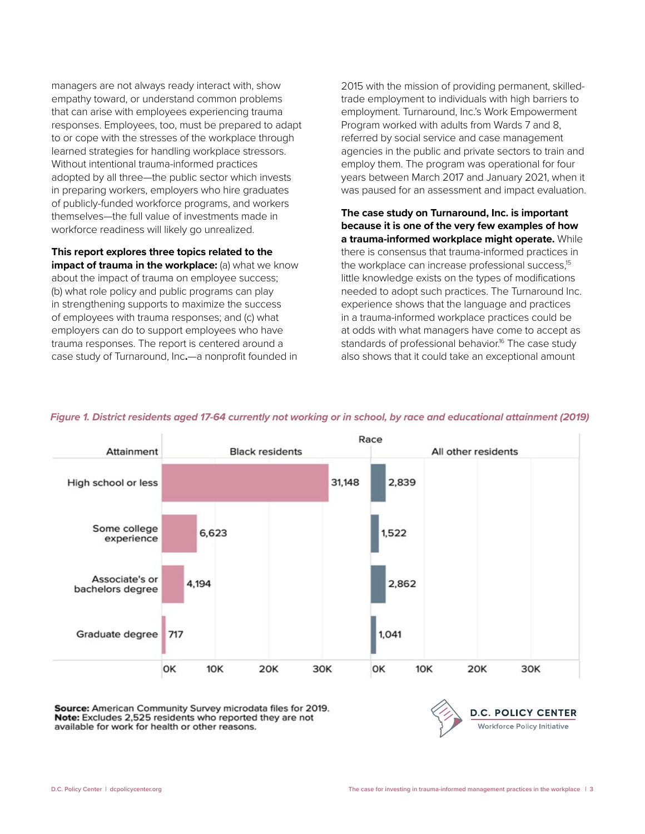managers are not always ready interact with, show empathy toward, or understand common problems that can arise with employees experiencing trauma responses. Employees, too, must be prepared to adapt to or cope with the stresses of the workplace through learned strategies for handling workplace stressors. Without intentional trauma-informed practices adopted by all three—the public sector which invests in preparing workers, employers who hire graduates of publicly-funded workforce programs, and workers themselves—the full value of investments made in workforce readiness will likely go unrealized.

**This report explores three topics related to the impact of trauma in the workplace:** (a) what we know about the impact of trauma on employee success; (b) what role policy and public programs can play in strengthening supports to maximize the success of employees with trauma responses; and (c) what employers can do to support employees who have trauma responses. The report is centered around a case study of [Turnaround, Inc](http://turnaroundincdc.org/)**.**—a nonprofit founded in

2015 with the mission of providing permanent, skilledtrade employment to individuals with high barriers to employment. Turnaround, Inc.'s Work Empowerment Program worked with adults from Wards 7 and 8, referred by social service and case management agencies in the public and private sectors to train and employ them. The program was operational for four years between March 2017 and January 2021, when it was paused for an assessment and impact evaluation.

**The case study on Turnaround, Inc. is important because it is one of the very few examples of how a trauma-informed workplace might operate.** While there is consensus that trauma-informed practices in the workplace can increase professional success,<sup>15</sup> little knowledge exists on the types of modifications needed to adopt such practices. The Turnaround Inc. experience shows that the language and practices in a trauma-informed workplace practices could be at odds with what managers have come to accept as standards of professional behavior.<sup>16</sup> The case study also shows that it could take an exceptional amount



#### *Figure 1. District residents aged 17-64 currently not working or in school, by race and educational attainment (2019)*

Source: American Community Survey microdata files for 2019. Note: Excludes 2,525 residents who reported they are not available for work for health or other reasons.

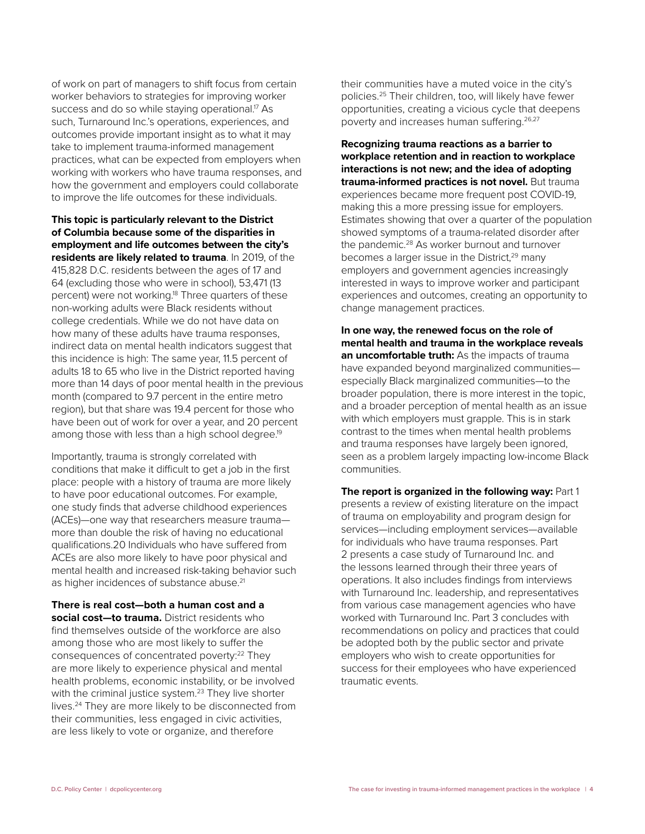of work on part of managers to shift focus from certain worker behaviors to strategies for improving worker success and do so while staying operational.<sup>17</sup> As such, Turnaround Inc.'s operations, experiences, and outcomes provide important insight as to what it may take to implement trauma-informed management practices, what can be expected from employers when working with workers who have trauma responses, and how the government and employers could collaborate to improve the life outcomes for these individuals.

**This topic is particularly relevant to the District of Columbia because some of the disparities in employment and life outcomes between the city's residents are likely related to trauma**. In 2019, of the 415,828 D.C. residents between the ages of 17 and 64 (excluding those who were in school), 53,471 (13 percent) were not working.<sup>18</sup> Three quarters of these non-working adults were Black residents without college credentials. While we do not have data on how many of these adults have trauma responses, indirect data on mental health indicators suggest that this incidence is high: The same year, 11.5 percent of adults 18 to 65 who live in the District reported having more than 14 days of poor mental health in the previous month (compared to 9.7 percent in the entire metro region), but that share was 19.4 percent for those who have been out of work for over a year, and 20 percent among those with less than a high school degree.<sup>19</sup>

Importantly, trauma is strongly correlated with conditions that make it difficult to get a job in the first place: people with a history of trauma are more likely to have poor educational outcomes. For example, one study finds that adverse childhood experiences (ACEs)—one way that researchers measure trauma more than double the risk of having no educational qualifications.20 Individuals who have suffered from ACEs are also more likely to have poor physical and mental health and increased risk-taking behavior such as higher incidences of substance abuse.<sup>21</sup>

**There is real cost—both a human cost and a social cost—to trauma.** District residents who find themselves outside of the workforce are also among those who are most likely to suffer the consequences of concentrated poverty:<sup>22</sup> They are more likely to experience physical and mental health problems, economic instability, or be involved with the criminal justice system.<sup>23</sup> They live shorter lives.<sup>24</sup> They are more likely to be disconnected from their communities, less engaged in civic activities, are less likely to vote or organize, and therefore

their communities have a muted voice in the city's policies.25 Their children, too, will likely have fewer opportunities, creating a vicious cycle that deepens poverty and increases human suffering.<sup>26,27</sup>

**Recognizing trauma reactions as a barrier to workplace retention and in reaction to workplace interactions is not new; and the idea of adopting trauma-informed practices is not novel.** But trauma experiences became more frequent post COVID-19, making this a more pressing issue for employers. Estimates showing that over a quarter of the population showed symptoms of a trauma-related disorder after the pandemic.<sup>28</sup> As worker burnout and turnover becomes a larger issue in the District,<sup>29</sup> many employers and government agencies increasingly interested in ways to improve worker and participant experiences and outcomes, creating an opportunity to change management practices.

**In one way, the renewed focus on the role of mental health and trauma in the workplace reveals an uncomfortable truth:** As the impacts of trauma have expanded beyond marginalized communities especially Black marginalized communities—to the broader population, there is more interest in the topic, and a broader perception of mental health as an issue with which employers must grapple. This is in stark contrast to the times when mental health problems and trauma responses have largely been ignored, seen as a problem largely impacting low-income Black communities.

**The report is organized in the following way:** Part 1 presents a review of existing literature on the impact of trauma on employability and program design for services—including employment services—available for individuals who have trauma responses. Part 2 presents a case study of Turnaround Inc. and the lessons learned through their three years of operations. It also includes findings from interviews with Turnaround Inc. leadership, and representatives from various case management agencies who have worked with Turnaround Inc. Part 3 concludes with recommendations on policy and practices that could be adopted both by the public sector and private employers who wish to create opportunities for success for their employees who have experienced traumatic events.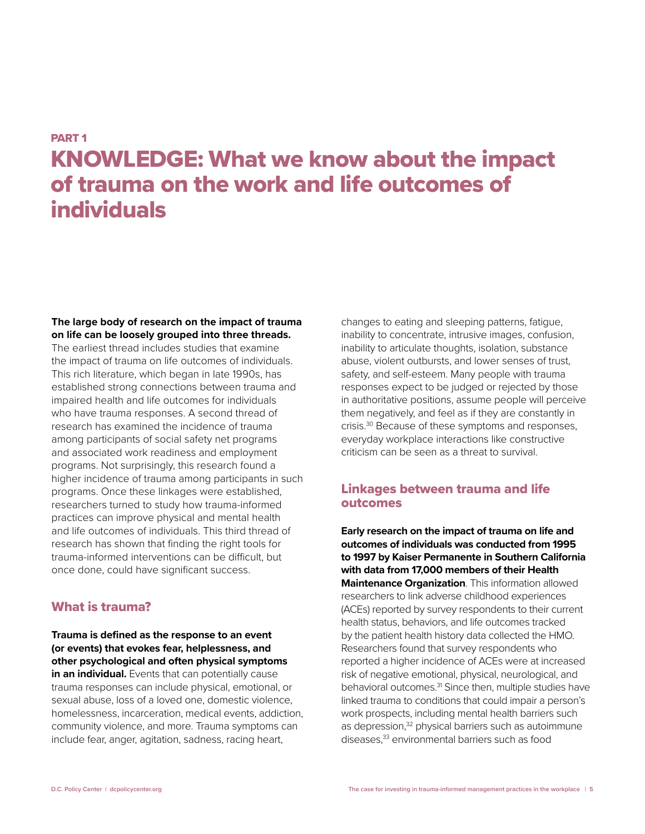## PART 1

# KNOWLEDGE: What we know about the impact of trauma on the work and life outcomes of individuals

#### **The large body of research on the impact of trauma on life can be loosely grouped into three threads.**  The earliest thread includes studies that examine

the impact of trauma on life outcomes of individuals. This rich literature, which began in late 1990s, has established strong connections between trauma and impaired health and life outcomes for individuals who have trauma responses. A second thread of research has examined the incidence of trauma among participants of social safety net programs and associated work readiness and employment programs. Not surprisingly, this research found a higher incidence of trauma among participants in such programs. Once these linkages were established, researchers turned to study how trauma-informed practices can improve physical and mental health and life outcomes of individuals. This third thread of research has shown that finding the right tools for trauma-informed interventions can be difficult, but once done, could have significant success.

## What is trauma?

**Trauma is defined as the response to an event (or events) that evokes fear, helplessness, and other psychological and often physical symptoms in an individual.** Events that can potentially cause trauma responses can include physical, emotional, or sexual abuse, loss of a loved one, domestic violence, homelessness, incarceration, medical events, addiction, community violence, and more. Trauma symptoms can include fear, anger, agitation, sadness, racing heart,

changes to eating and sleeping patterns, fatigue, inability to concentrate, intrusive images, confusion, inability to articulate thoughts, isolation, substance abuse, violent outbursts, and lower senses of trust, safety, and self-esteem. Many people with trauma responses expect to be judged or rejected by those in authoritative positions, assume people will perceive them negatively, and feel as if they are constantly in crisis.30 Because of these symptoms and responses, everyday workplace interactions like constructive criticism can be seen as a threat to survival.

## Linkages between trauma and life outcomes

**Early research on the impact of trauma on life and outcomes of individuals was conducted from 1995 to 1997 by Kaiser Permanente in Southern California with data from 17,000 members of their Health Maintenance Organization**. This information allowed researchers to link adverse childhood experiences (ACEs) reported by survey respondents to their current health status, behaviors, and life outcomes tracked by the patient health history data collected the HMO. Researchers found that survey respondents who reported a higher incidence of ACEs were at increased risk of negative emotional, physical, neurological, and behavioral outcomes.<sup>31</sup> Since then, multiple studies have linked trauma to conditions that could impair a person's work prospects, including mental health barriers such as depression,<sup>32</sup> physical barriers such as autoimmune diseases,33 environmental barriers such as food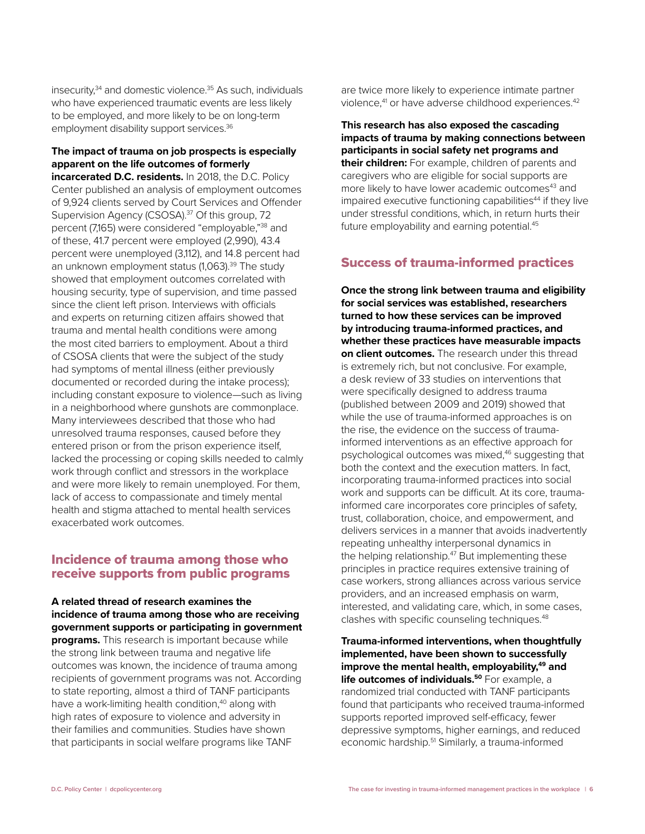insecurity, $34$  and domestic violence. $35$  As such, individuals who have experienced traumatic events are less likely to be employed, and more likely to be on long-term employment disability support services.<sup>36</sup>

## **The impact of trauma on job prospects is especially apparent on the life outcomes of formerly**

**incarcerated D.C. residents.** In 2018, the D.C. Policy Center published an analysis of employment outcomes of 9,924 clients served by Court Services and Offender Supervision Agency (CSOSA).<sup>37</sup> Of this group, 72 percent (7,165) were considered "employable,"38 and of these, 41.7 percent were employed (2,990), 43.4 percent were unemployed (3,112), and 14.8 percent had an unknown employment status (1,063).<sup>39</sup> The study showed that employment outcomes correlated with housing security, type of supervision, and time passed since the client left prison. Interviews with officials and experts on returning citizen affairs showed that trauma and mental health conditions were among the most cited barriers to employment. About a third of CSOSA clients that were the subject of the study had symptoms of mental illness (either previously documented or recorded during the intake process); including constant exposure to violence—such as living in a neighborhood where gunshots are commonplace. Many interviewees described that those who had unresolved trauma responses, caused before they entered prison or from the prison experience itself, lacked the processing or coping skills needed to calmly work through conflict and stressors in the workplace and were more likely to remain unemployed. For them, lack of access to compassionate and timely mental health and stigma attached to mental health services exacerbated work outcomes.

## Incidence of trauma among those who receive supports from public programs

**A related thread of research examines the incidence of trauma among those who are receiving government supports or participating in government programs.** This research is important because while the strong link between trauma and negative life outcomes was known, the incidence of trauma among recipients of government programs was not. According to state reporting, almost a third of TANF participants have a work-limiting health condition,<sup>40</sup> along with high rates of exposure to violence and adversity in their families and communities. Studies have shown that participants in social welfare programs like TANF

are twice more likely to experience intimate partner violence,<sup>41</sup> or have adverse childhood experiences.<sup>42</sup>

**This research has also exposed the cascading impacts of trauma by making connections between participants in social safety net programs and their children:** For example, children of parents and caregivers who are eligible for social supports are more likely to have lower academic outcomes<sup>43</sup> and impaired executive functioning capabilities<sup>44</sup> if they live under stressful conditions, which, in return hurts their future employability and earning potential.<sup>45</sup>

## Success of trauma-informed practices

**Once the strong link between trauma and eligibility for social services was established, researchers turned to how these services can be improved by introducing trauma-informed practices, and whether these practices have measurable impacts on client outcomes.** The research under this thread is extremely rich, but not conclusive. For example, a desk review of 33 studies on interventions that were specifically designed to address trauma (published between 2009 and 2019) showed that while the use of trauma-informed approaches is on the rise, the evidence on the success of traumainformed interventions as an effective approach for psychological outcomes was mixed,<sup>46</sup> suggesting that both the context and the execution matters. In fact, incorporating trauma-informed practices into social work and supports can be difficult. At its core, traumainformed care incorporates core principles of safety, trust, collaboration, choice, and empowerment, and delivers services in a manner that avoids inadvertently repeating unhealthy interpersonal dynamics in the helping relationship.<sup>47</sup> But implementing these principles in practice requires extensive training of case workers, strong alliances across various service providers, and an increased emphasis on warm, interested, and validating care, which, in some cases, clashes with specific counseling techniques.<sup>48</sup>

**Trauma-informed interventions, when thoughtfully implemented, have been shown to successfully**  improve the mental health, employability,<sup>49</sup> and life outcomes of individuals.<sup>50</sup> For example, a randomized trial conducted with TANF participants found that participants who received trauma-informed supports reported improved self-efficacy, fewer depressive symptoms, higher earnings, and reduced economic hardship.<sup>51</sup> Similarly, a trauma-informed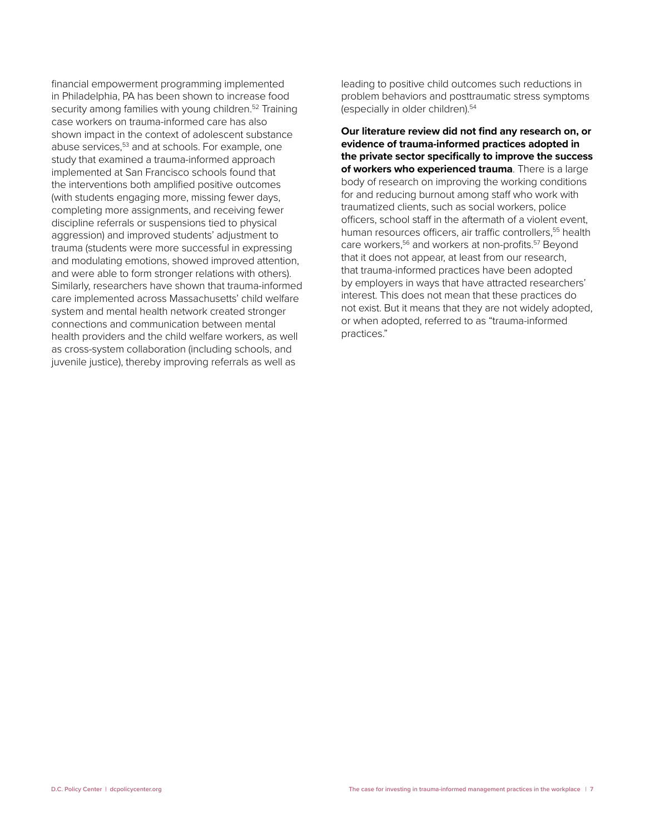financial empowerment programming implemented in Philadelphia, PA has been shown to increase food security among families with young children.<sup>52</sup> Training case workers on trauma-informed care has also shown impact in the context of adolescent substance abuse services,<sup>53</sup> and at schools. For example, one study that examined a trauma-informed approach implemented at San Francisco schools found that the interventions both amplified positive outcomes (with students engaging more, missing fewer days, completing more assignments, and receiving fewer discipline referrals or suspensions tied to physical aggression) and improved students' adjustment to trauma (students were more successful in expressing and modulating emotions, showed improved attention, and were able to form stronger relations with others). Similarly, researchers have shown that trauma-informed care implemented across Massachusetts' child welfare system and mental health network created stronger connections and communication between mental health providers and the child welfare workers, as well as cross-system collaboration (including schools, and juvenile justice), thereby improving referrals as well as

leading to positive child outcomes such reductions in problem behaviors and posttraumatic stress symptoms (especially in older children).54

**Our literature review did not find any research on, or evidence of trauma-informed practices adopted in the private sector specifically to improve the success of workers who experienced trauma**. There is a large body of research on improving the working conditions for and reducing burnout among staff who work with traumatized clients, such as social workers, police officers, school staff in the aftermath of a violent event, human resources officers, air traffic controllers,<sup>55</sup> health care workers,<sup>56</sup> and workers at non-profits.<sup>57</sup> Beyond that it does not appear, at least from our research, that trauma-informed practices have been adopted by employers in ways that have attracted researchers' interest. This does not mean that these practices do not exist. But it means that they are not widely adopted, or when adopted, referred to as "trauma-informed practices."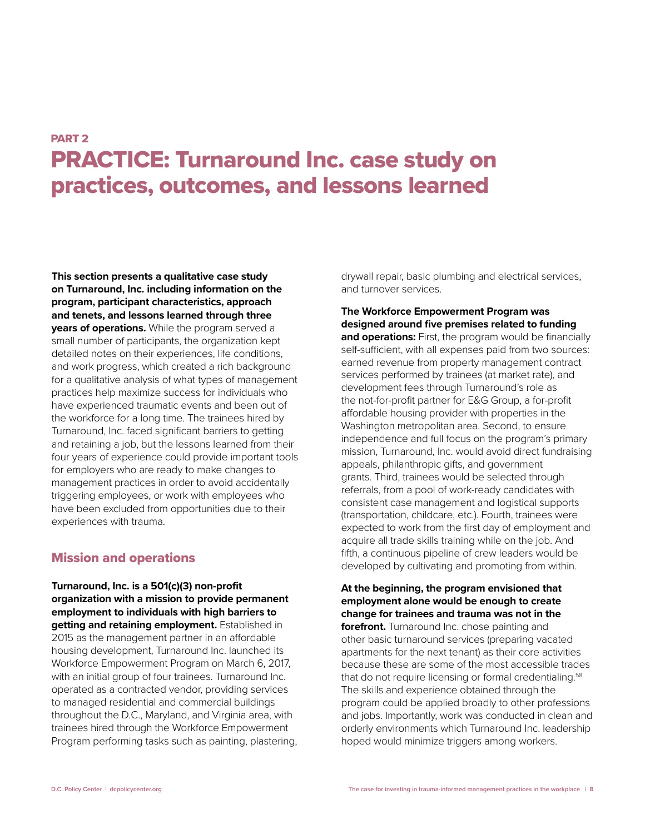## PART 2 PRACTICE: Turnaround Inc. case study on practices, outcomes, and lessons learned

**This section presents a qualitative case study on Turnaround, Inc. including information on the program, participant characteristics, approach and tenets, and lessons learned through three years of operations.** While the program served a small number of participants, the organization kept detailed notes on their experiences, life conditions, and work progress, which created a rich background for a qualitative analysis of what types of management practices help maximize success for individuals who have experienced traumatic events and been out of the workforce for a long time. The trainees hired by Turnaround, Inc. faced significant barriers to getting and retaining a job, but the lessons learned from their four years of experience could provide important tools for employers who are ready to make changes to management practices in order to avoid accidentally triggering employees, or work with employees who have been excluded from opportunities due to their experiences with trauma.

## Mission and operations

**Turnaround, Inc. is a 501(c)(3) non-profit organization with a mission to provide permanent employment to individuals with high barriers to getting and retaining employment.** Established in 2015 as the management partner in an affordable housing development, Turnaround Inc. launched its Workforce Empowerment Program on March 6, 2017, with an initial group of four trainees. Turnaround Inc. operated as a contracted vendor, providing services to managed residential and commercial buildings throughout the D.C., Maryland, and Virginia area, with trainees hired through the Workforce Empowerment Program performing tasks such as painting, plastering, drywall repair, basic plumbing and electrical services, and turnover services.

**The Workforce Empowerment Program was designed around five premises related to funding**  and operations: First, the program would be financially self-sufficient, with all expenses paid from two sources: earned revenue from property management contract services performed by trainees (at market rate), and development fees through Turnaround's role as the not-for-profit partner for E&G Group, a for-profit affordable housing provider with properties in the Washington metropolitan area. Second, to ensure independence and full focus on the program's primary mission, Turnaround, Inc. would avoid direct fundraising appeals, philanthropic gifts, and government grants. Third, trainees would be selected through referrals, from a pool of work-ready candidates with consistent case management and logistical supports (transportation, childcare, etc.). Fourth, trainees were expected to work from the first day of employment and acquire all trade skills training while on the job. And fifth, a continuous pipeline of crew leaders would be developed by cultivating and promoting from within.

**At the beginning, the program envisioned that employment alone would be enough to create change for trainees and trauma was not in the forefront.** Turnaround Inc. chose painting and other basic turnaround services (preparing vacated apartments for the next tenant) as their core activities because these are some of the most accessible trades that do not require licensing or formal credentialing.<sup>58</sup> The skills and experience obtained through the program could be applied broadly to other professions and jobs. Importantly, work was conducted in clean and orderly environments which Turnaround Inc. leadership hoped would minimize triggers among workers.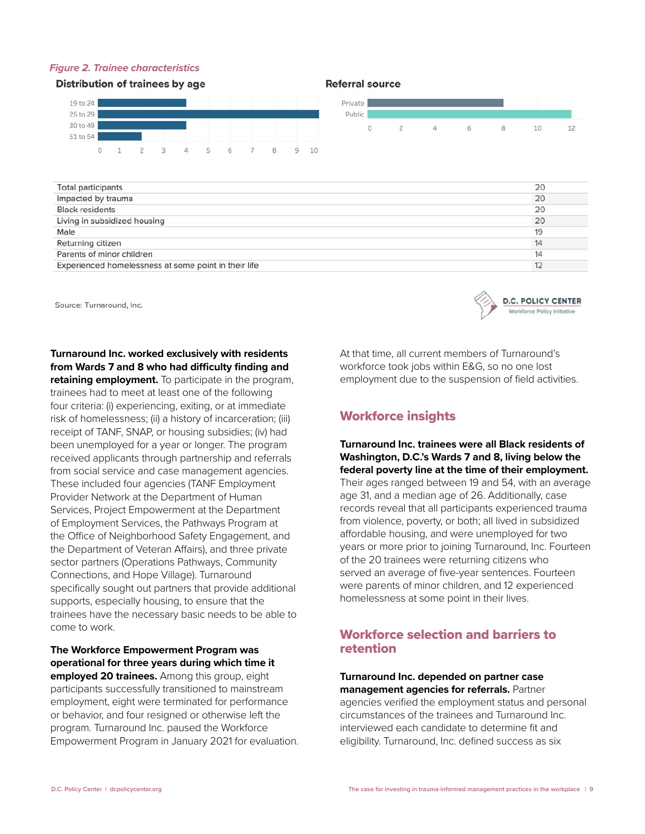#### *Figure 2. Trainee characteristics*

#### **Distribution of trainees by age**



#### **Referral source**



| <b>Total participants</b>                            | 20 |
|------------------------------------------------------|----|
| Impacted by trauma                                   | 20 |
| <b>Black residents</b>                               | 20 |
| Living in subsidized housing                         | 20 |
| Male                                                 | 19 |
| Returning citizen                                    | 14 |
| Parents of minor children                            | 14 |
| Experienced homelessness at some point in their life | 12 |
|                                                      |    |

Source: Turnaround, Inc.

**Turnaround Inc. worked exclusively with residents from Wards 7 and 8 who had difficulty finding and retaining employment.** To participate in the program,

trainees had to meet at least one of the following four criteria: (i) experiencing, exiting, or at immediate risk of homelessness; (ii) a history of incarceration; (iii) receipt of TANF, SNAP, or housing subsidies; (iv) had been unemployed for a year or longer. The program received applicants through partnership and referrals from social service and case management agencies. These included four agencies (TANF Employment Provider Network at the Department of Human Services, Project Empowerment at the Department of Employment Services, the Pathways Program at the Office of Neighborhood Safety Engagement, and the Department of Veteran Affairs), and three private sector partners (Operations Pathways, Community Connections, and Hope Village). Turnaround specifically sought out partners that provide additional supports, especially housing, to ensure that the trainees have the necessary basic needs to be able to come to work.

**The Workforce Empowerment Program was operational for three years during which time it employed 20 trainees.** Among this group, eight participants successfully transitioned to mainstream employment, eight were terminated for performance or behavior, and four resigned or otherwise left the program. Turnaround Inc. paused the Workforce Empowerment Program in January 2021 for evaluation. At that time, all current members of Turnaround's workforce took jobs within E&G, so no one lost employment due to the suspension of field activities.

**D.C. POLICY CENTER** 

Workforce Policy Initiati

## Workforce insights

### **Turnaround Inc. trainees were all Black residents of Washington, D.C.'s Wards 7 and 8, living below the federal poverty line at the time of their employment.**

Their ages ranged between 19 and 54, with an average age 31, and a median age of 26. Additionally, case records reveal that all participants experienced trauma from violence, poverty, or both; all lived in subsidized affordable housing, and were unemployed for two years or more prior to joining Turnaround, Inc. Fourteen of the 20 trainees were returning citizens who served an average of five-year sentences. Fourteen were parents of minor children, and 12 experienced homelessness at some point in their lives.

## Workforce selection and barriers to retention

**Turnaround Inc. depended on partner case management agencies for referrals.** Partner agencies verified the employment status and personal circumstances of the trainees and Turnaround Inc. interviewed each candidate to determine fit and eligibility. Turnaround, Inc. defined success as six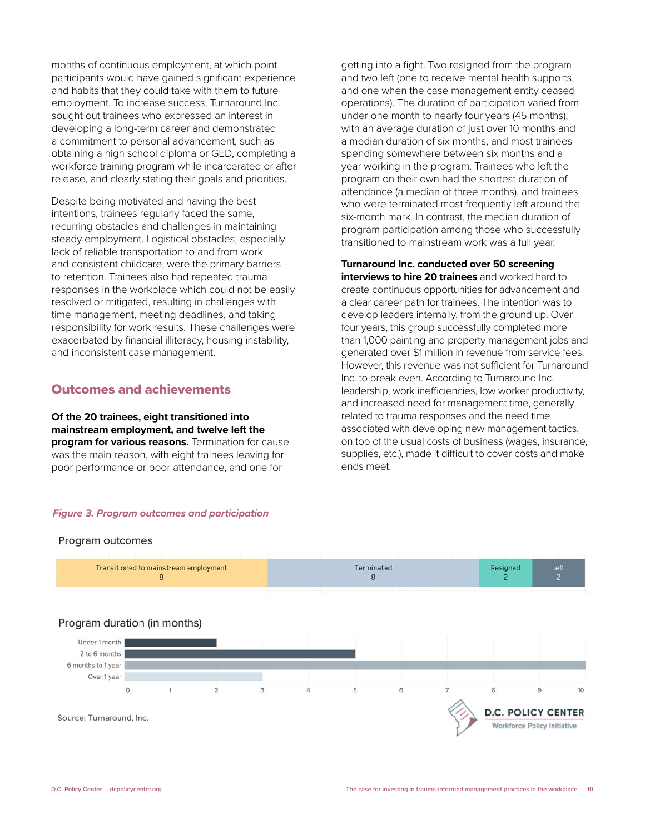months of continuous employment, at which point participants would have gained significant experience and habits that they could take with them to future employment. To increase success, Turnaround Inc. sought out trainees who expressed an interest in developing a long-term career and demonstrated a commitment to personal advancement, such as obtaining a high school diploma or GED, completing a workforce training program while incarcerated or after release, and clearly stating their goals and priorities.

Despite being motivated and having the best intentions, trainees regularly faced the same, recurring obstacles and challenges in maintaining steady employment. Logistical obstacles, especially lack of reliable transportation to and from work and consistent childcare, were the primary barriers to retention. Trainees also had repeated trauma responses in the workplace which could not be easily resolved or mitigated, resulting in challenges with time management, meeting deadlines, and taking responsibility for work results. These challenges were exacerbated by financial illiteracy, housing instability, and inconsistent case management.

## Outcomes and achievements

**Of the 20 trainees, eight transitioned into mainstream employment, and twelve left the program for various reasons.** Termination for cause was the main reason, with eight trainees leaving for poor performance or poor attendance, and one for

#### *Figure 3. Program outcomes and participation*

#### Program outcomes



getting into a fight. Two resigned from the program and two left (one to receive mental health supports, and one when the case management entity ceased operations). The duration of participation varied from under one month to nearly four years (45 months), with an average duration of just over 10 months and a median duration of six months, and most trainees spending somewhere between six months and a year working in the program. Trainees who left the program on their own had the shortest duration of attendance (a median of three months), and trainees who were terminated most frequently left around the six-month mark. In contrast, the median duration of program participation among those who successfully transitioned to mainstream work was a full year.

**Turnaround Inc. conducted over 50 screening interviews to hire 20 trainees** and worked hard to create continuous opportunities for advancement and a clear career path for trainees. The intention was to develop leaders internally, from the ground up. Over four years, this group successfully completed more than 1,000 painting and property management jobs and generated over \$1 million in revenue from service fees. However, this revenue was not sufficient for Turnaround Inc. to break even. According to Turnaround Inc. leadership, work inefficiencies, low worker productivity, and increased need for management time, generally related to trauma responses and the need time associated with developing new management tactics, on top of the usual costs of business (wages, insurance, supplies, etc.), made it difficult to cover costs and make ends meet.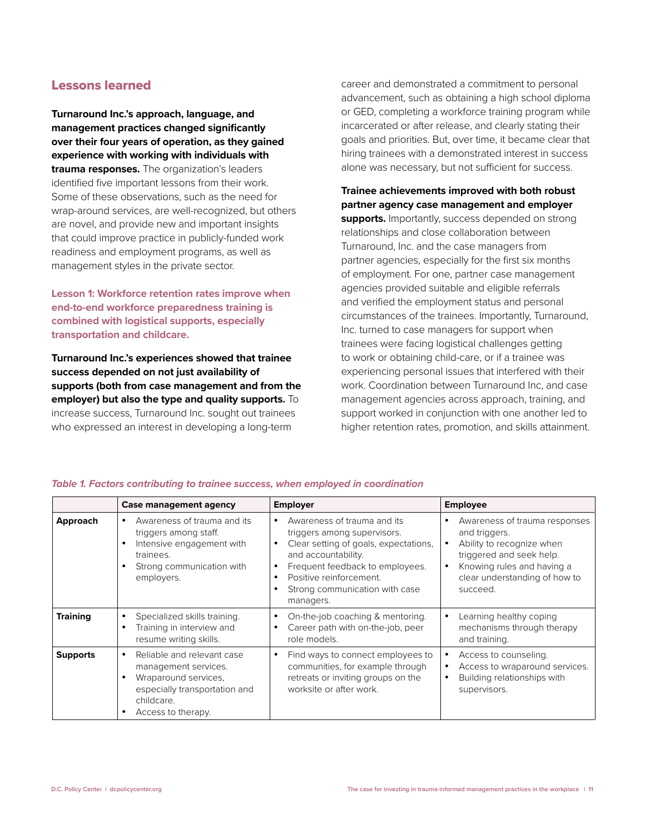## Lessons learned

**Turnaround Inc.'s approach, language, and management practices changed significantly over their four years of operation, as they gained experience with working with individuals with trauma responses.** The organization's leaders identified five important lessons from their work. Some of these observations, such as the need for wrap-around services, are well-recognized, but others are novel, and provide new and important insights that could improve practice in publicly-funded work readiness and employment programs, as well as management styles in the private sector.

**Lesson 1: Workforce retention rates improve when end-to-end workforce preparedness training is combined with logistical supports, especially transportation and childcare.**

**Turnaround Inc.'s experiences showed that trainee success depended on not just availability of supports (both from case management and from the employer) but also the type and quality supports.** To increase success, Turnaround Inc. sought out trainees who expressed an interest in developing a long-term

career and demonstrated a commitment to personal advancement, such as obtaining a high school diploma or GED, completing a workforce training program while incarcerated or after release, and clearly stating their goals and priorities. But, over time, it became clear that hiring trainees with a demonstrated interest in success alone was necessary, but not sufficient for success.

#### **Trainee achievements improved with both robust partner agency case management and employer**

**supports.** Importantly, success depended on strong relationships and close collaboration between Turnaround, Inc. and the case managers from partner agencies, especially for the first six months of employment. For one, partner case management agencies provided suitable and eligible referrals and verified the employment status and personal circumstances of the trainees. Importantly, Turnaround, Inc. turned to case managers for support when trainees were facing logistical challenges getting to work or obtaining child-care, or if a trainee was experiencing personal issues that interfered with their work. Coordination between Turnaround Inc, and case management agencies across approach, training, and support worked in conjunction with one another led to higher retention rates, promotion, and skills attainment.

|                 | Case management agency                                                                                                                          | <b>Employer</b>                                                                                                                                                                                                                         | <b>Employee</b>                                                                                                                                                                                      |
|-----------------|-------------------------------------------------------------------------------------------------------------------------------------------------|-----------------------------------------------------------------------------------------------------------------------------------------------------------------------------------------------------------------------------------------|------------------------------------------------------------------------------------------------------------------------------------------------------------------------------------------------------|
| Approach        | Awareness of trauma and its<br>triggers among staff.<br>Intensive engagement with<br>trainees.<br>Strong communication with<br>employers.       | Awareness of trauma and its<br>triggers among supervisors.<br>Clear setting of goals, expectations,<br>and accountability.<br>Frequent feedback to employees.<br>Positive reinforcement.<br>Strong communication with case<br>managers. | Awareness of trauma responses<br>٠<br>and triggers.<br>Ability to recognize when<br>$\bullet$<br>triggered and seek help.<br>Knowing rules and having a<br>clear understanding of how to<br>succeed. |
| <b>Training</b> | Specialized skills training.<br>Training in interview and<br>resume writing skills.                                                             | On-the-job coaching & mentoring.<br>Career path with on-the-job, peer<br>role models.                                                                                                                                                   | Learning healthy coping<br>٠<br>mechanisms through therapy<br>and training.                                                                                                                          |
| <b>Supports</b> | Reliable and relevant case<br>management services.<br>Wraparound services,<br>especially transportation and<br>childcare.<br>Access to therapy. | Find ways to connect employees to<br>communities, for example through<br>retreats or inviting groups on the<br>worksite or after work.                                                                                                  | Access to counseling.<br>٠<br>Access to wraparound services.<br>Building relationships with<br>٠<br>supervisors.                                                                                     |

#### *Table 1. Factors contributing to trainee success, when employed in coordination*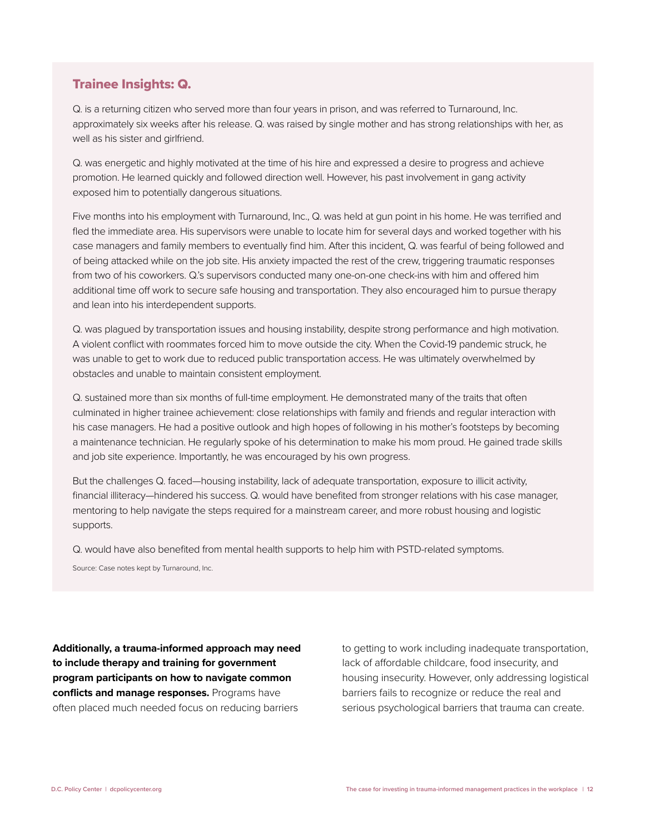## Trainee Insights: Q.

Q. is a returning citizen who served more than four years in prison, and was referred to Turnaround, Inc. approximately six weeks after his release. Q. was raised by single mother and has strong relationships with her, as well as his sister and girlfriend.

Q. was energetic and highly motivated at the time of his hire and expressed a desire to progress and achieve promotion. He learned quickly and followed direction well. However, his past involvement in gang activity exposed him to potentially dangerous situations.

Five months into his employment with Turnaround, Inc., Q. was held at gun point in his home. He was terrified and fled the immediate area. His supervisors were unable to locate him for several days and worked together with his case managers and family members to eventually find him. After this incident, Q. was fearful of being followed and of being attacked while on the job site. His anxiety impacted the rest of the crew, triggering traumatic responses from two of his coworkers. Q.'s supervisors conducted many one-on-one check-ins with him and offered him additional time off work to secure safe housing and transportation. They also encouraged him to pursue therapy and lean into his interdependent supports.

Q. was plagued by transportation issues and housing instability, despite strong performance and high motivation. A violent conflict with roommates forced him to move outside the city. When the Covid-19 pandemic struck, he was unable to get to work due to reduced public transportation access. He was ultimately overwhelmed by obstacles and unable to maintain consistent employment.

Q. sustained more than six months of full-time employment. He demonstrated many of the traits that often culminated in higher trainee achievement: close relationships with family and friends and regular interaction with his case managers. He had a positive outlook and high hopes of following in his mother's footsteps by becoming a maintenance technician. He regularly spoke of his determination to make his mom proud. He gained trade skills and job site experience. Importantly, he was encouraged by his own progress.

But the challenges Q. faced—housing instability, lack of adequate transportation, exposure to illicit activity, financial illiteracy—hindered his success. Q. would have benefited from stronger relations with his case manager, mentoring to help navigate the steps required for a mainstream career, and more robust housing and logistic supports.

Q. would have also benefited from mental health supports to help him with PSTD-related symptoms.

Source: Case notes kept by Turnaround, Inc.

**Additionally, a trauma-informed approach may need to include therapy and training for government program participants on how to navigate common conflicts and manage responses.** Programs have often placed much needed focus on reducing barriers

to getting to work including inadequate transportation, lack of affordable childcare, food insecurity, and housing insecurity. However, only addressing logistical barriers fails to recognize or reduce the real and serious psychological barriers that trauma can create.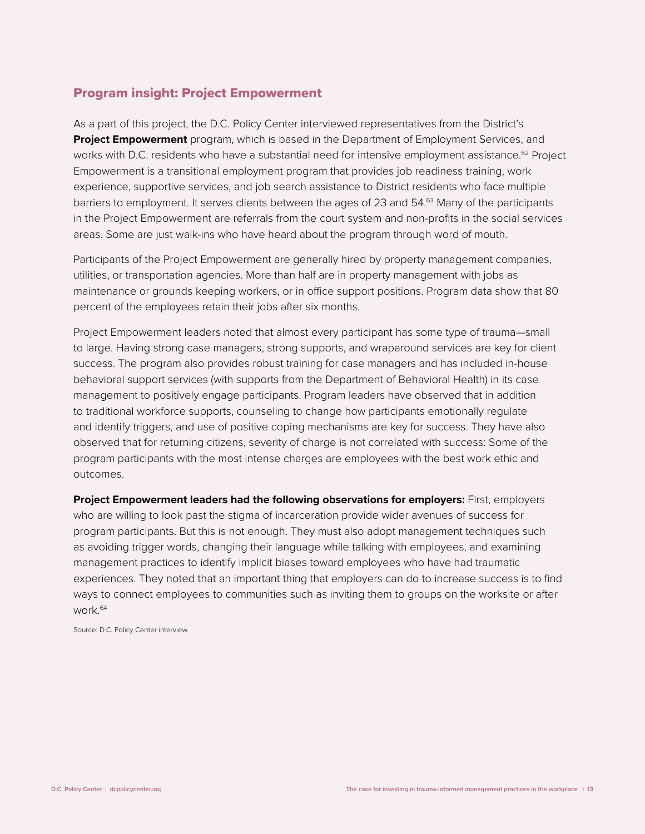## Program insight: Project Empowerment

As a part of this project, the D.C. Policy Center interviewed representatives from the District's **Project Empowerment** program, which is based in the Department of Employment Services, and works with D.C. residents who have a substantial need for intensive employment assistance.<sup>62</sup> Project Empowerment is a transitional employment program that provides job readiness training, work experience, supportive services, and job search assistance to District residents who face multiple barriers to employment. It serves clients between the ages of 23 and 54.<sup>63</sup> Many of the participants in the Project Empowerment are referrals from the court system and non-profits in the social services areas. Some are just walk-ins who have heard about the program through word of mouth.

Participants of the Project Empowerment are generally hired by property management companies, utilities, or transportation agencies. More than half are in property management with jobs as maintenance or grounds keeping workers, or in office support positions. Program data show that 80 percent of the employees retain their jobs after six months.

Project Empowerment leaders noted that almost every participant has some type of trauma—small to large. Having strong case managers, strong supports, and wraparound services are key for client success. The program also provides robust training for case managers and has included in-house behavioral support services (with supports from the Department of Behavioral Health) in its case management to positively engage participants. Program leaders have observed that in addition to traditional workforce supports, counseling to change how participants emotionally regulate and identify triggers, and use of positive coping mechanisms are key for success. They have also observed that for returning citizens, severity of charge is not correlated with success: Some of the program participants with the most intense charges are employees with the best work ethic and outcomes.

**Project Empowerment leaders had the following observations for employers:** First, employers who are willing to look past the stigma of incarceration provide wider avenues of success for program participants. But this is not enough. They must also adopt management techniques such as avoiding trigger words, changing their language while talking with employees, and examining management practices to identify implicit biases toward employees who have had traumatic experiences. They noted that an important thing that employers can do to increase success is to find ways to connect employees to communities such as inviting them to groups on the worksite or after work.64

Source: D.C. Policy Center interview.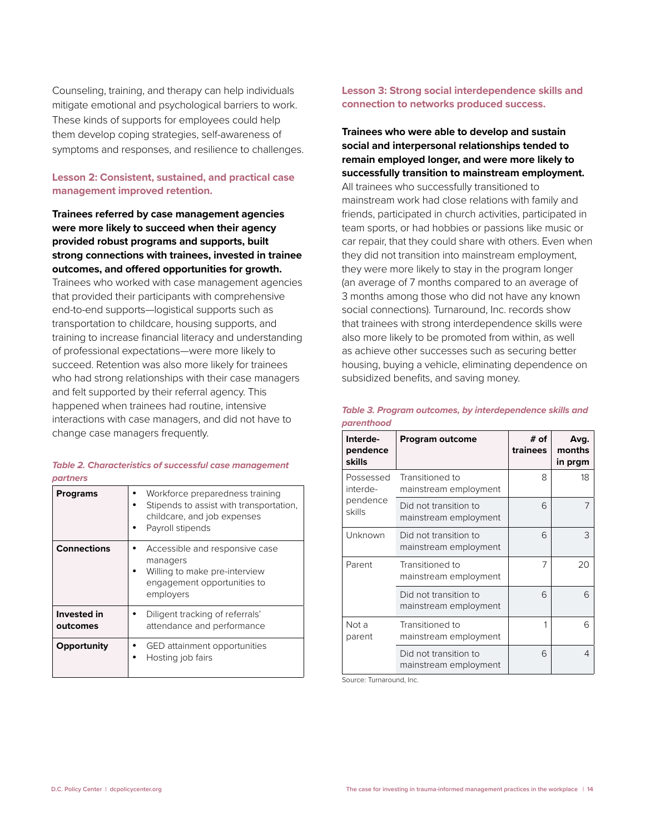Counseling, training, and therapy can help individuals mitigate emotional and psychological barriers to work. These kinds of supports for employees could help them develop coping strategies, self-awareness of symptoms and responses, and resilience to challenges.

#### **Lesson 2: Consistent, sustained, and practical case management improved retention.**

### **Trainees referred by case management agencies were more likely to succeed when their agency provided robust programs and supports, built strong connections with trainees, invested in trainee outcomes, and offered opportunities for growth.**

Trainees who worked with case management agencies that provided their participants with comprehensive end-to-end supports—logistical supports such as transportation to childcare, housing supports, and training to increase financial literacy and understanding of professional expectations—were more likely to succeed. Retention was also more likely for trainees who had strong relationships with their case managers and felt supported by their referral agency. This happened when trainees had routine, intensive interactions with case managers, and did not have to change case managers frequently.

#### *Table 2. Characteristics of successful case management partners*

| <b>Programs</b>         | Workforce preparedness training<br>Stipends to assist with transportation,<br>childcare, and job expenses<br>Payroll stipends |
|-------------------------|-------------------------------------------------------------------------------------------------------------------------------|
| <b>Connections</b>      | Accessible and responsive case<br>managers<br>Willing to make pre-interview<br>engagement opportunities to<br>employers       |
| Invested in<br>outcomes | Diligent tracking of referrals'<br>attendance and performance                                                                 |
| Opportunity             | GED attainment opportunities<br>Hosting job fairs                                                                             |

#### **Lesson 3: Strong social interdependence skills and connection to networks produced success.**

## **Trainees who were able to develop and sustain social and interpersonal relationships tended to remain employed longer, and were more likely to successfully transition to mainstream employment.**  All trainees who successfully transitioned to mainstream work had close relations with family and friends, participated in church activities, participated in team sports, or had hobbies or passions like music or car repair, that they could share with others. Even when they did not transition into mainstream employment, they were more likely to stay in the program longer (an average of 7 months compared to an average of 3 months among those who did not have any known social connections). Turnaround, Inc. records show that trainees with strong interdependence skills were also more likely to be promoted from within, as well as achieve other successes such as securing better housing, buying a vehicle, eliminating dependence on subsidized benefits, and saving money.

| Interde-<br>pendence<br>skills              | Program outcome                                | # of<br>trainees | Avg.<br>months<br>in prgm |
|---------------------------------------------|------------------------------------------------|------------------|---------------------------|
| Possessed<br>interde-<br>pendence<br>skills | Transitioned to<br>mainstream employment       | 8                | 18                        |
|                                             | Did not transition to<br>mainstream employment | 6                | 7                         |
| Unknown                                     | Did not transition to<br>mainstream employment | 6                | 3                         |
| Parent                                      | Transitioned to<br>mainstream employment       | 7                | 20                        |
|                                             | Did not transition to<br>mainstream employment | 6                | 6                         |
| Not a<br>parent                             | Transitioned to<br>mainstream employment       | 1                | 6                         |
|                                             | Did not transition to<br>mainstream employment | 6                | 4                         |

*Table 3. Program outcomes, by interdependence skills and parenthood*

Source: Turnaround, Inc.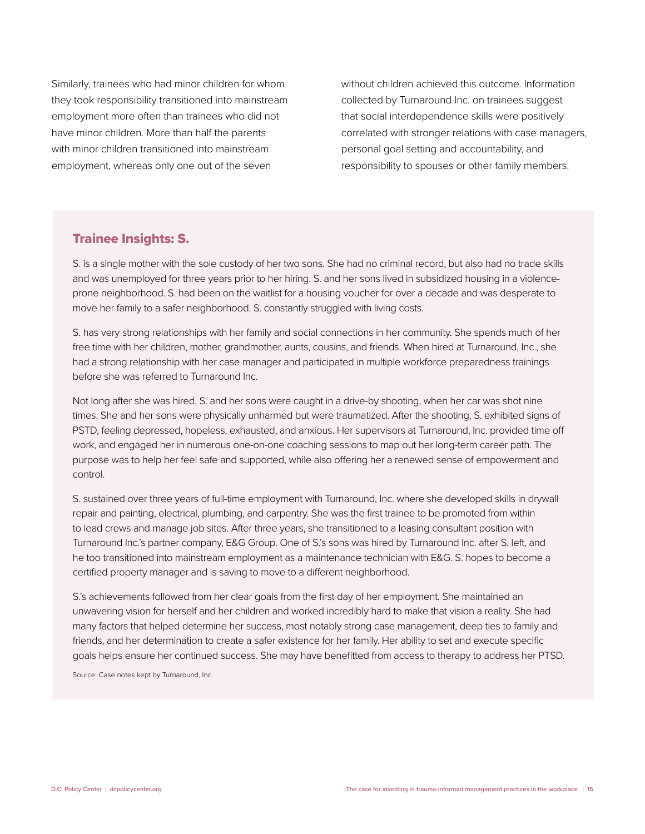Similarly, trainees who had minor children for whom they took responsibility transitioned into mainstream employment more often than trainees who did not have minor children. More than half the parents with minor children transitioned into mainstream employment, whereas only one out of the seven

without children achieved this outcome. Information collected by Turnaround Inc. on trainees suggest that social interdependence skills were positively correlated with stronger relations with case managers, personal goal setting and accountability, and responsibility to spouses or other family members.

## Trainee Insights: S.

S. is a single mother with the sole custody of her two sons. She had no criminal record, but also had no trade skills and was unemployed for three years prior to her hiring. S. and her sons lived in subsidized housing in a violenceprone neighborhood. S. had been on the waitlist for a housing voucher for over a decade and was desperate to move her family to a safer neighborhood. S. constantly struggled with living costs.

S. has very strong relationships with her family and social connections in her community. She spends much of her free time with her children, mother, grandmother, aunts, cousins, and friends. When hired at Turnaround, Inc., she had a strong relationship with her case manager and participated in multiple workforce preparedness trainings before she was referred to Turnaround Inc.

Not long after she was hired, S. and her sons were caught in a drive-by shooting, when her car was shot nine times. She and her sons were physically unharmed but were traumatized. After the shooting, S. exhibited signs of PSTD, feeling depressed, hopeless, exhausted, and anxious. Her supervisors at Turnaround, Inc. provided time off work, and engaged her in numerous one-on-one coaching sessions to map out her long-term career path. The purpose was to help her feel safe and supported, while also offering her a renewed sense of empowerment and control.

S. sustained over three years of full-time employment with Turnaround, Inc. where she developed skills in drywall repair and painting, electrical, plumbing, and carpentry. She was the first trainee to be promoted from within to lead crews and manage job sites. After three years, she transitioned to a leasing consultant position with Turnaround Inc.'s partner company, E&G Group. One of S.'s sons was hired by Turnaround Inc. after S. left, and he too transitioned into mainstream employment as a maintenance technician with E&G. S. hopes to become a certified property manager and is saving to move to a different neighborhood.

S.'s achievements followed from her clear goals from the first day of her employment. She maintained an unwavering vision for herself and her children and worked incredibly hard to make that vision a reality. She had many factors that helped determine her success, most notably strong case management, deep ties to family and friends, and her determination to create a safer existence for her family. Her ability to set and execute specific goals helps ensure her continued success. She may have benefitted from access to therapy to address her PTSD.

Source: Case notes kept by Turnaround, Inc.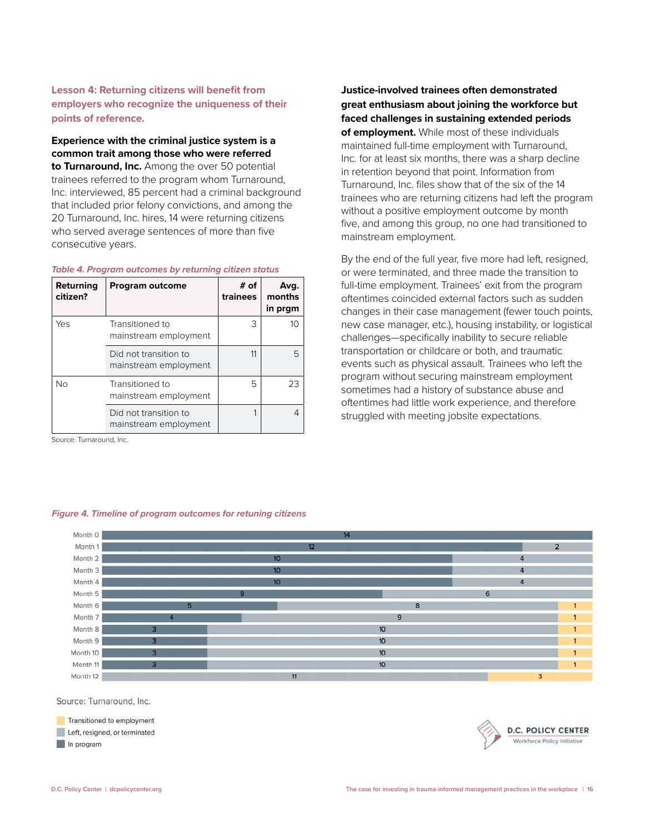#### **Lesson 4: Returning citizens will benefit from employers who recognize the uniqueness of their points of reference.**

**Experience with the criminal justice system is a common trait among those who were referred to Turnaround, Inc.** Among the over 50 potential trainees referred to the program whom Turnaround, Inc. interviewed, 85 percent had a criminal background that included prior felony convictions, and among the 20 Turnaround, Inc. hires, 14 were returning citizens who served average sentences of more than five consecutive years.

#### *Table 4. Program outcomes by returning citizen status*

| Returning<br>citizen? | <b>Program outcome</b>                         | $#$ of<br>trainees | Avg.<br>months<br>in prgm |
|-----------------------|------------------------------------------------|--------------------|---------------------------|
| Yes                   | Transitioned to<br>mainstream employment       | 3                  | 10                        |
|                       | Did not transition to<br>mainstream employment | 11                 | 5                         |
| Νo                    | Transitioned to<br>mainstream employment       | 5                  | 23                        |
|                       | Did not transition to<br>mainstream employment |                    | 4                         |

Source: Turnaround, Inc.

#### *Figure 4. Timeline of program outcomes for retuning citizens*

Month 0 Month 1 Month 2  $10<sup>10</sup>$ Month 3  $10$ Month 4 Month<sub>5</sub> Month 6 Month 7 Month 8  $10<sup>10</sup>$ Month 9  $10$ Month 10  $10$ Month 11  $10<sup>10</sup>$ Month 12

Source: Turnaround, Inc.

Transitioned to employment Left, resigned, or terminated In program



**Justice-involved trainees often demonstrated great enthusiasm about joining the workforce but faced challenges in sustaining extended periods of employment.** While most of these individuals maintained full-time employment with Turnaround, Inc. for at least six months, there was a sharp decline in retention beyond that point. Information from Turnaround, Inc. files show that of the six of the 14 trainees who are returning citizens had left the program without a positive employment outcome by month five, and among this group, no one had transitioned to mainstream employment.

By the end of the full year, five more had left, resigned, or were terminated, and three made the transition to full-time employment. Trainees' exit from the program oftentimes coincided external factors such as sudden changes in their case management (fewer touch points, new case manager, etc.), housing instability, or logistical challenges—specifically inability to secure reliable transportation or childcare or both, and traumatic events such as physical assault. Trainees who left the program without securing mainstream employment sometimes had a history of substance abuse and oftentimes had little work experience, and therefore struggled with meeting jobsite expectations.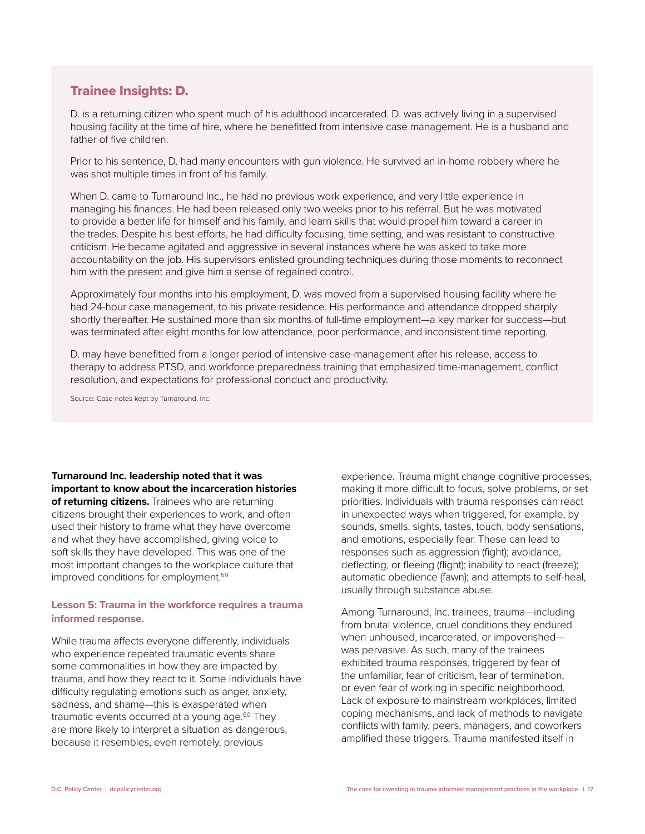## Trainee Insights: D.

D. is a returning citizen who spent much of his adulthood incarcerated. D. was actively living in a supervised housing facility at the time of hire, where he benefitted from intensive case management. He is a husband and father of five children.

Prior to his sentence, D. had many encounters with gun violence. He survived an in-home robbery where he was shot multiple times in front of his family.

When D. came to Turnaround Inc., he had no previous work experience, and very little experience in managing his finances. He had been released only two weeks prior to his referral. But he was motivated to provide a better life for himself and his family, and learn skills that would propel him toward a career in the trades. Despite his best efforts, he had difficulty focusing, time setting, and was resistant to constructive criticism. He became agitated and aggressive in several instances where he was asked to take more accountability on the job. His supervisors enlisted grounding techniques during those moments to reconnect him with the present and give him a sense of regained control.

Approximately four months into his employment, D. was moved from a supervised housing facility where he had 24-hour case management, to his private residence. His performance and attendance dropped sharply shortly thereafter. He sustained more than six months of full-time employment—a key marker for success—but was terminated after eight months for low attendance, poor performance, and inconsistent time reporting.

D. may have benefitted from a longer period of intensive case-management after his release, access to therapy to address PTSD, and workforce preparedness training that emphasized time-management, conflict resolution, and expectations for professional conduct and productivity.

Source: Case notes kept by Turnaround, Inc.

**Turnaround Inc. leadership noted that it was important to know about the incarceration histories of returning citizens.** Trainees who are returning citizens brought their experiences to work, and often used their history to frame what they have overcome and what they have accomplished, giving voice to soft skills they have developed. This was one of the most important changes to the workplace culture that improved conditions for employment.<sup>59</sup>

#### **Lesson 5: Trauma in the workforce requires a trauma informed response.**

While trauma affects everyone differently, individuals who experience repeated traumatic events share some commonalities in how they are impacted by trauma, and how they react to it. Some individuals have difficulty regulating emotions such as anger, anxiety, sadness, and shame—this is exasperated when traumatic events occurred at a young age.<sup>60</sup> They are more likely to interpret a situation as dangerous, because it resembles, even remotely, previous

experience. Trauma might change cognitive processes, making it more difficult to focus, solve problems, or set priorities. Individuals with trauma responses can react in unexpected ways when triggered, for example, by sounds, smells, sights, tastes, touch, body sensations, and emotions, especially fear. These can lead to responses such as aggression (fight); avoidance, deflecting, or fleeing (flight); inability to react (freeze); automatic obedience (fawn); and attempts to self-heal, usually through substance abuse.

Among Turnaround, Inc. trainees, trauma—including from brutal violence, cruel conditions they endured when unhoused, incarcerated, or impoverished was pervasive. As such, many of the trainees exhibited trauma responses, triggered by fear of the unfamiliar, fear of criticism, fear of termination, or even fear of working in specific neighborhood. Lack of exposure to mainstream workplaces, limited coping mechanisms, and lack of methods to navigate conflicts with family, peers, managers, and coworkers amplified these triggers. Trauma manifested itself in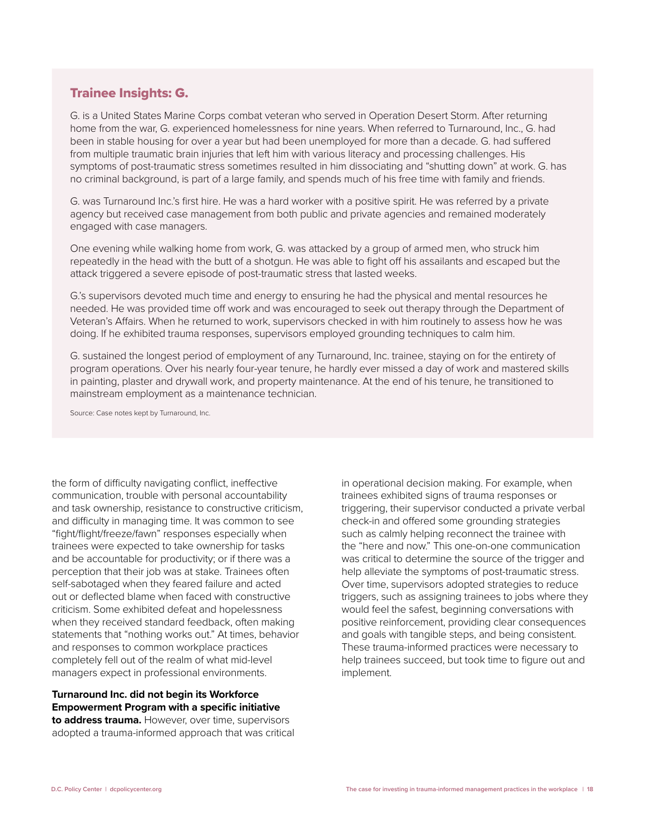## Trainee Insights: G.

G. is a United States Marine Corps combat veteran who served in Operation Desert Storm. After returning home from the war, G. experienced homelessness for nine years. When referred to Turnaround, Inc., G. had been in stable housing for over a year but had been unemployed for more than a decade. G. had suffered from multiple traumatic brain injuries that left him with various literacy and processing challenges. His symptoms of post-traumatic stress sometimes resulted in him dissociating and "shutting down" at work. G. has no criminal background, is part of a large family, and spends much of his free time with family and friends.

G. was Turnaround Inc.'s first hire. He was a hard worker with a positive spirit. He was referred by a private agency but received case management from both public and private agencies and remained moderately engaged with case managers.

One evening while walking home from work, G. was attacked by a group of armed men, who struck him repeatedly in the head with the butt of a shotgun. He was able to fight off his assailants and escaped but the attack triggered a severe episode of post-traumatic stress that lasted weeks.

G.'s supervisors devoted much time and energy to ensuring he had the physical and mental resources he needed. He was provided time off work and was encouraged to seek out therapy through the Department of Veteran's Affairs. When he returned to work, supervisors checked in with him routinely to assess how he was doing. If he exhibited trauma responses, supervisors employed grounding techniques to calm him.

G. sustained the longest period of employment of any Turnaround, Inc. trainee, staying on for the entirety of program operations. Over his nearly four-year tenure, he hardly ever missed a day of work and mastered skills in painting, plaster and drywall work, and property maintenance. At the end of his tenure, he transitioned to mainstream employment as a maintenance technician.

Source: Case notes kept by Turnaround, Inc.

the form of difficulty navigating conflict, ineffective communication, trouble with personal accountability and task ownership, resistance to constructive criticism, and difficulty in managing time. It was common to see "fight/flight/freeze/fawn" responses especially when trainees were expected to take ownership for tasks and be accountable for productivity; or if there was a perception that their job was at stake. Trainees often self-sabotaged when they feared failure and acted out or deflected blame when faced with constructive criticism. Some exhibited defeat and hopelessness when they received standard feedback, often making statements that "nothing works out." At times, behavior and responses to common workplace practices completely fell out of the realm of what mid-level managers expect in professional environments.

**Turnaround Inc. did not begin its Workforce Empowerment Program with a specific initiative to address trauma.** However, over time, supervisors adopted a trauma-informed approach that was critical in operational decision making. For example, when trainees exhibited signs of trauma responses or triggering, their supervisor conducted a private verbal check-in and offered some grounding strategies such as calmly helping reconnect the trainee with the "here and now." This one-on-one communication was critical to determine the source of the trigger and help alleviate the symptoms of post-traumatic stress. Over time, supervisors adopted strategies to reduce triggers, such as assigning trainees to jobs where they would feel the safest, beginning conversations with positive reinforcement, providing clear consequences and goals with tangible steps, and being consistent. These trauma-informed practices were necessary to help trainees succeed, but took time to figure out and implement.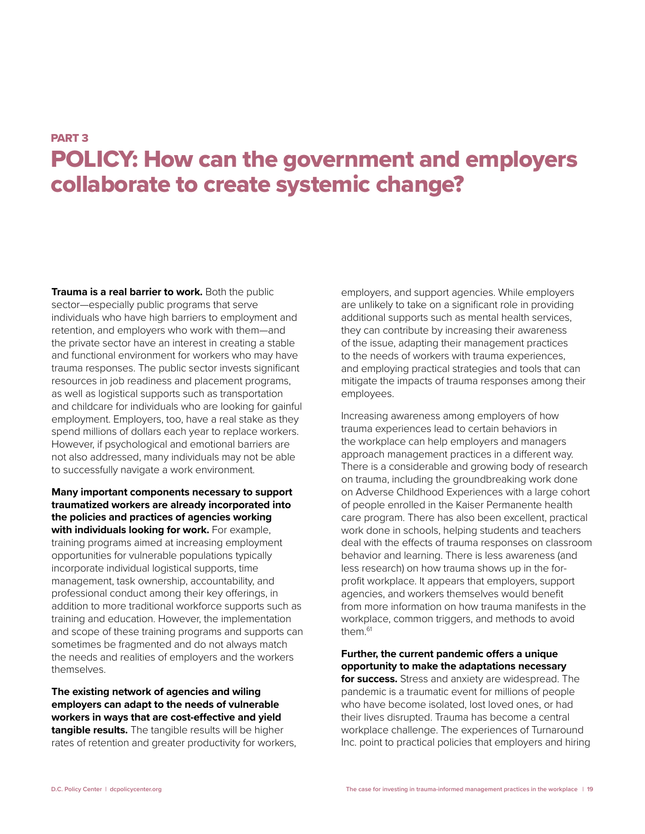## PART 3 POLICY: How can the government and employers collaborate to create systemic change?

**Trauma is a real barrier to work.** Both the public sector—especially public programs that serve individuals who have high barriers to employment and retention, and employers who work with them—and the private sector have an interest in creating a stable and functional environment for workers who may have trauma responses. The public sector invests significant resources in job readiness and placement programs, as well as logistical supports such as transportation and childcare for individuals who are looking for gainful employment. Employers, too, have a real stake as they spend millions of dollars each year to replace workers. However, if psychological and emotional barriers are not also addressed, many individuals may not be able to successfully navigate a work environment.

**Many important components necessary to support traumatized workers are already incorporated into the policies and practices of agencies working with individuals looking for work.** For example, training programs aimed at increasing employment opportunities for vulnerable populations typically incorporate individual logistical supports, time management, task ownership, accountability, and professional conduct among their key offerings, in addition to more traditional workforce supports such as training and education. However, the implementation and scope of these training programs and supports can sometimes be fragmented and do not always match the needs and realities of employers and the workers themselves.

**The existing network of agencies and wiling employers can adapt to the needs of vulnerable workers in ways that are cost-effective and yield tangible results.** The tangible results will be higher rates of retention and greater productivity for workers,

employers, and support agencies. While employers are unlikely to take on a significant role in providing additional supports such as mental health services, they can contribute by increasing their awareness of the issue, adapting their management practices to the needs of workers with trauma experiences, and employing practical strategies and tools that can mitigate the impacts of trauma responses among their employees.

Increasing awareness among employers of how trauma experiences lead to certain behaviors in the workplace can help employers and managers approach management practices in a different way. There is a considerable and growing body of research on trauma, including the groundbreaking work done on Adverse Childhood Experiences with a large cohort of people enrolled in the Kaiser Permanente health care program. There has also been excellent, practical work done in schools, helping students and teachers deal with the effects of trauma responses on classroom behavior and learning. There is less awareness (and less research) on how trauma shows up in the forprofit workplace. It appears that employers, support agencies, and workers themselves would benefit from more information on how trauma manifests in the workplace, common triggers, and methods to avoid them.<sup>61</sup>

**Further, the current pandemic offers a unique opportunity to make the adaptations necessary** 

**for success.** Stress and anxiety are widespread. The pandemic is a traumatic event for millions of people who have become isolated, lost loved ones, or had their lives disrupted. Trauma has become a central workplace challenge. The experiences of Turnaround Inc. point to practical policies that employers and hiring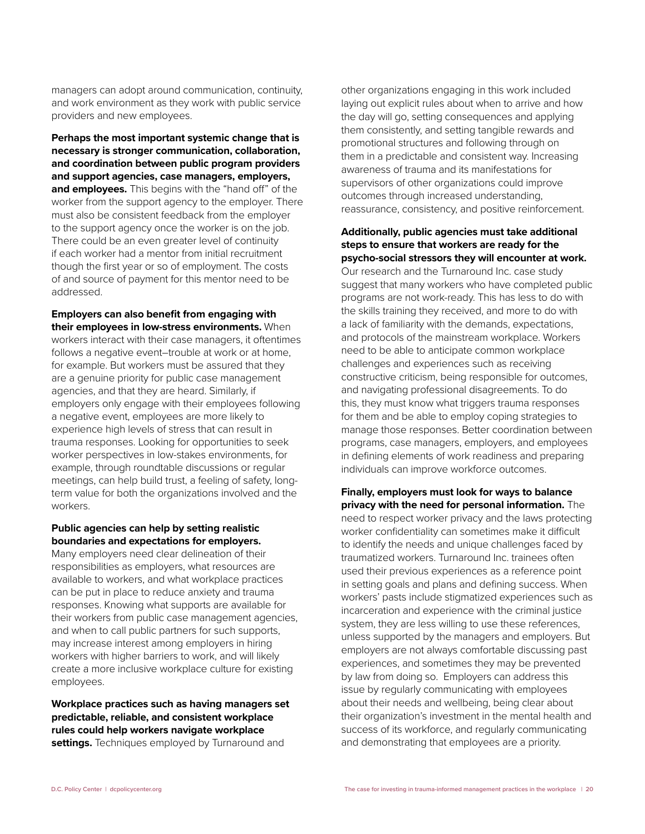managers can adopt around communication, continuity, and work environment as they work with public service providers and new employees.

**Perhaps the most important systemic change that is necessary is stronger communication, collaboration, and coordination between public program providers and support agencies, case managers, employers, and employees.** This begins with the "hand off" of the worker from the support agency to the employer. There must also be consistent feedback from the employer to the support agency once the worker is on the job. There could be an even greater level of continuity if each worker had a mentor from initial recruitment though the first year or so of employment. The costs of and source of payment for this mentor need to be addressed.

**Employers can also benefit from engaging with their employees in low-stress environments.** When workers interact with their case managers, it oftentimes follows a negative event–trouble at work or at home, for example. But workers must be assured that they are a genuine priority for public case management agencies, and that they are heard. Similarly, if employers only engage with their employees following a negative event, employees are more likely to experience high levels of stress that can result in trauma responses. Looking for opportunities to seek worker perspectives in low-stakes environments, for example, through roundtable discussions or regular meetings, can help build trust, a feeling of safety, longterm value for both the organizations involved and the workers.

#### **Public agencies can help by setting realistic boundaries and expectations for employers.**

Many employers need clear delineation of their responsibilities as employers, what resources are available to workers, and what workplace practices can be put in place to reduce anxiety and trauma responses. Knowing what supports are available for their workers from public case management agencies, and when to call public partners for such supports, may increase interest among employers in hiring workers with higher barriers to work, and will likely create a more inclusive workplace culture for existing employees.

**Workplace practices such as having managers set predictable, reliable, and consistent workplace rules could help workers navigate workplace settings.** Techniques employed by Turnaround and

other organizations engaging in this work included laying out explicit rules about when to arrive and how the day will go, setting consequences and applying them consistently, and setting tangible rewards and promotional structures and following through on them in a predictable and consistent way. Increasing awareness of trauma and its manifestations for supervisors of other organizations could improve outcomes through increased understanding, reassurance, consistency, and positive reinforcement.

**Additionally, public agencies must take additional steps to ensure that workers are ready for the psycho-social stressors they will encounter at work.**  Our research and the Turnaround Inc. case study suggest that many workers who have completed public programs are not work-ready. This has less to do with the skills training they received, and more to do with a lack of familiarity with the demands, expectations, and protocols of the mainstream workplace. Workers need to be able to anticipate common workplace challenges and experiences such as receiving constructive criticism, being responsible for outcomes, and navigating professional disagreements. To do this, they must know what triggers trauma responses for them and be able to employ coping strategies to manage those responses. Better coordination between programs, case managers, employers, and employees in defining elements of work readiness and preparing individuals can improve workforce outcomes.

**Finally, employers must look for ways to balance privacy with the need for personal information.** The need to respect worker privacy and the laws protecting worker confidentiality can sometimes make it difficult to identify the needs and unique challenges faced by traumatized workers. Turnaround Inc. trainees often used their previous experiences as a reference point in setting goals and plans and defining success. When workers' pasts include stigmatized experiences such as incarceration and experience with the criminal justice system, they are less willing to use these references, unless supported by the managers and employers. But employers are not always comfortable discussing past experiences, and sometimes they may be prevented by law from doing so. Employers can address this issue by regularly communicating with employees about their needs and wellbeing, being clear about their organization's investment in the mental health and success of its workforce, and regularly communicating and demonstrating that employees are a priority.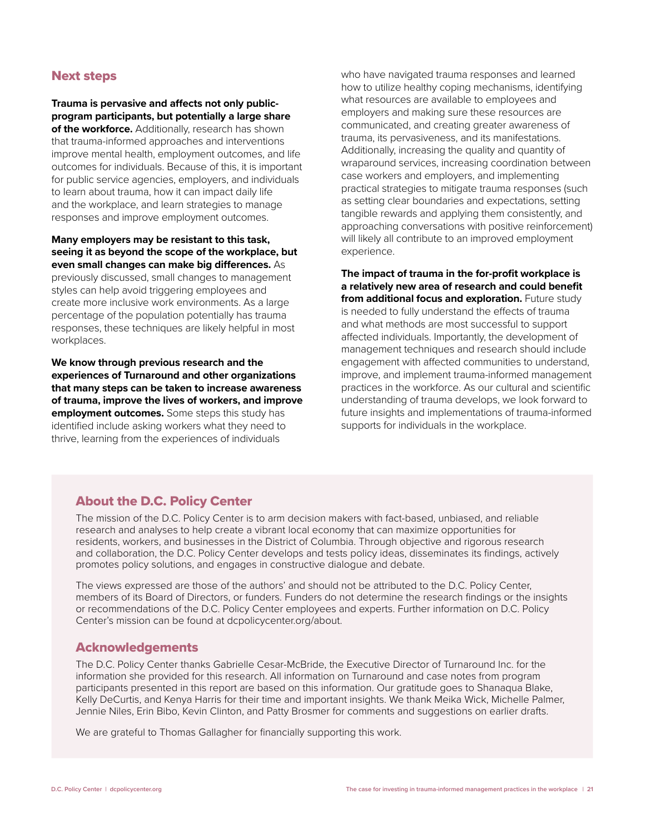## Next steps

**Trauma is pervasive and affects not only publicprogram participants, but potentially a large share of the workforce.** Additionally, research has shown that trauma-informed approaches and interventions improve mental health, employment outcomes, and life outcomes for individuals. Because of this, it is important for public service agencies, employers, and individuals to learn about trauma, how it can impact daily life and the workplace, and learn strategies to manage responses and improve employment outcomes.

#### **Many employers may be resistant to this task, seeing it as beyond the scope of the workplace, but even small changes can make big differences.** As

previously discussed, small changes to management styles can help avoid triggering employees and create more inclusive work environments. As a large percentage of the population potentially has trauma responses, these techniques are likely helpful in most workplaces.

**We know through previous research and the experiences of Turnaround and other organizations that many steps can be taken to increase awareness of trauma, improve the lives of workers, and improve employment outcomes.** Some steps this study has identified include asking workers what they need to thrive, learning from the experiences of individuals

who have navigated trauma responses and learned how to utilize healthy coping mechanisms, identifying what resources are available to employees and employers and making sure these resources are communicated, and creating greater awareness of trauma, its pervasiveness, and its manifestations. Additionally, increasing the quality and quantity of wraparound services, increasing coordination between case workers and employers, and implementing practical strategies to mitigate trauma responses (such as setting clear boundaries and expectations, setting tangible rewards and applying them consistently, and approaching conversations with positive reinforcement) will likely all contribute to an improved employment experience.

**The impact of trauma in the for-profit workplace is a relatively new area of research and could benefit**  from additional focus and exploration. Future study is needed to fully understand the effects of trauma and what methods are most successful to support affected individuals. Importantly, the development of management techniques and research should include engagement with affected communities to understand, improve, and implement trauma-informed management practices in the workforce. As our cultural and scientific understanding of trauma develops, we look forward to future insights and implementations of trauma-informed supports for individuals in the workplace.

## About the D.C. Policy Center

The mission of the D.C. Policy Center is to arm decision makers with fact-based, unbiased, and reliable research and analyses to help create a vibrant local economy that can maximize opportunities for residents, workers, and businesses in the District of Columbia. Through objective and rigorous research and collaboration, the D.C. Policy Center develops and tests policy ideas, disseminates its findings, actively promotes policy solutions, and engages in constructive dialogue and debate.

The views expressed are those of the authors' and should not be attributed to the D.C. Policy Center, members of its Board of Directors, or funders. Funders do not determine the research findings or the insights or recommendations of the D.C. Policy Center employees and experts. Further information on D.C. Policy Center's mission can be found at dcpolicycenter.org/about.

## Acknowledgements

The D.C. Policy Center thanks Gabrielle Cesar-McBride, the Executive Director of Turnaround Inc. for the information she provided for this research. All information on Turnaround and case notes from program participants presented in this report are based on this information. Our gratitude goes to Shanaqua Blake, Kelly DeCurtis, and Kenya Harris for their time and important insights. We thank Meika Wick, Michelle Palmer, Jennie Niles, Erin Bibo, Kevin Clinton, and Patty Brosmer for comments and suggestions on earlier drafts.

We are grateful to Thomas Gallagher for financially supporting this work.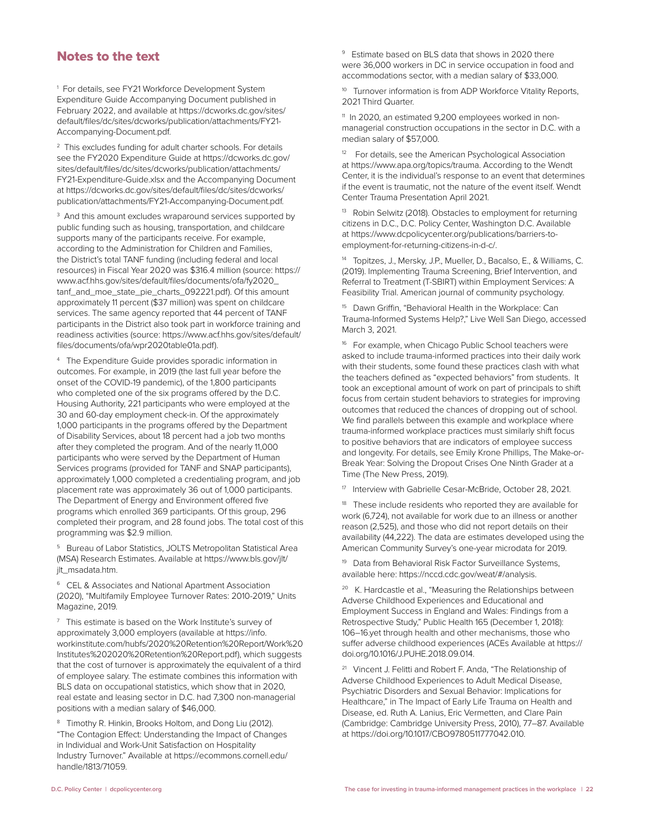## Notes to the text

1 For details, see FY21 Workforce Development System Expenditure Guide Accompanying Document published in February 2022, and available at [https://dcworks.dc.gov/sites/](https://dcworks.dc.gov/sites/default/files/dc/sites/dcworks/publication/attachments/FY21-Accompanying-Document.pdf) [default/files/dc/sites/dcworks/publication/attachments/FY21-](https://dcworks.dc.gov/sites/default/files/dc/sites/dcworks/publication/attachments/FY21-Accompanying-Document.pdf) [Accompanying-Document.pdf.](https://dcworks.dc.gov/sites/default/files/dc/sites/dcworks/publication/attachments/FY21-Accompanying-Document.pdf)

<sup>2</sup> This excludes funding for adult charter schools. For details see the FY2020 Expenditure Guide at [https://dcworks.dc.gov/](https://dcworks.dc.gov/sites/default/files/dc/sites/dcworks/publication/attachments/FY21-Expenditure-Guide.xlsx) [sites/default/files/dc/sites/dcworks/publication/attachments/](https://dcworks.dc.gov/sites/default/files/dc/sites/dcworks/publication/attachments/FY21-Expenditure-Guide.xlsx) [FY21-Expenditure-Guide.xlsx](https://dcworks.dc.gov/sites/default/files/dc/sites/dcworks/publication/attachments/FY21-Expenditure-Guide.xlsx) and the Accompanying Document at [https://dcworks.dc.gov/sites/default/files/dc/sites/dcworks/](https://dcworks.dc.gov/sites/default/files/dc/sites/dcworks/publication/attachments/FY21-Accompanying-Document.pdf) [publication/attachments/FY21-Accompanying-Document.pdf.](https://dcworks.dc.gov/sites/default/files/dc/sites/dcworks/publication/attachments/FY21-Accompanying-Document.pdf)

<sup>3</sup> And this amount excludes wraparound services supported by public funding such as housing, transportation, and childcare supports many of the participants receive. For example, according to the Administration for Children and Families, the District's total TANF funding (including federal and local resources) in Fiscal Year 2020 was \$316.4 million (source: [https://](https://www.acf.hhs.gov/sites/default/files/documents/ofa/fy2020_tanf_and_moe_state_pie_charts_092221.pdf) [www.acf.hhs.gov/sites/default/files/documents/ofa/fy2020\\_](https://www.acf.hhs.gov/sites/default/files/documents/ofa/fy2020_tanf_and_moe_state_pie_charts_092221.pdf) [tanf\\_and\\_moe\\_state\\_pie\\_charts\\_092221.pdf\)](https://www.acf.hhs.gov/sites/default/files/documents/ofa/fy2020_tanf_and_moe_state_pie_charts_092221.pdf). Of this amount approximately 11 percent (\$37 million) was spent on childcare services. The same agency reported that 44 percent of TANF participants in the District also took part in workforce training and readiness activities (source: [https://www.acf.hhs.gov/sites/default/](https://www.acf.hhs.gov/sites/default/files/documents/ofa/wpr2020table01a.pdf) [files/documents/ofa/wpr2020table01a.pdf\)](https://www.acf.hhs.gov/sites/default/files/documents/ofa/wpr2020table01a.pdf).

<sup>4</sup> The Expenditure Guide provides sporadic information in outcomes. For example, in 2019 (the last full year before the onset of the COVID-19 pandemic), of the 1,800 participants who completed one of the six programs offered by the D.C. Housing Authority, 221 participants who were employed at the 30 and 60-day employment check-in. Of the approximately 1,000 participants in the programs offered by the Department of Disability Services, about 18 percent had a job two months after they completed the program. And of the nearly 11,000 participants who were served by the Department of Human Services programs (provided for TANF and SNAP participants), approximately 1,000 completed a credentialing program, and job placement rate was approximately 36 out of 1,000 participants. The Department of Energy and Environment offered five programs which enrolled 369 participants. Of this group, 296 completed their program, and 28 found jobs. The total cost of this programming was \$2.9 million.

5 Bureau of Labor Statistics, JOLTS Metropolitan Statistical Area (MSA) Research Estimates. Available at [https://www.bls.gov/jlt/](https://www.bls.gov/jlt/jlt_msadata.htm) [jlt\\_msadata.htm](https://www.bls.gov/jlt/jlt_msadata.htm).

<sup>6</sup> CEL & Associates and National Apartment Association (2020), "Multifamily Employee Turnover Rates: 2010-2019," Units Magazine, 2019.

<sup>7</sup> This estimate is based on the Work Institute's survey of approximately 3,000 employers (available at [https://info.](https://info.workinstitute.com/hubfs/2020%20Retention%20Report/Work%20Institutes%202020%20Retention%20Report.pdf) [workinstitute.com/hubfs/2020%20Retention%20Report/Work%20](https://info.workinstitute.com/hubfs/2020%20Retention%20Report/Work%20Institutes%202020%20Retention%20Report.pdf) [Institutes%202020%20Retention%20Report.pdf](https://info.workinstitute.com/hubfs/2020%20Retention%20Report/Work%20Institutes%202020%20Retention%20Report.pdf)), which suggests that the cost of turnover is approximately the equivalent of a third of employee salary. The estimate combines this information with BLS data on occupational statistics, which show that in 2020, real estate and leasing sector in D.C. had 7,300 non-managerial positions with a median salary of \$46,000.

8 Timothy R. Hinkin, Brooks Holtom, and Dong Liu (2012). "The Contagion Effect: Understanding the Impact of Changes in Individual and Work-Unit Satisfaction on Hospitality Industry Turnover." Available at [https://ecommons.cornell.edu/](https://ecommons.cornell.edu/handle/1813/71059) [handle/1813/71059.](https://ecommons.cornell.edu/handle/1813/71059)

9 Estimate based on [BLS data](https://www.bls.gov/oes/current/oes_research_estimates.htm) that shows in 2020 there were 36,000 workers in DC in service occupation in food and accommodations sector, with a median salary of \$33,000.

<sup>10</sup> Turnover information is from ADP Workforce Vitality Reports, [2021 Third Quarter](https://workforcereport.adp.comhttps/ecommons.cornell.edu/handle/1813/71059).

<sup>11</sup> In 2020, an estimated 9,200 employees worked in nonmanagerial construction occupations in the sector in D.C. with a median salary of \$57,000.

<sup>12</sup> For details, see the American Psychological Association at [https://www.apa.org/topics/trauma.](https://www.apa.org/topics/trauma) According to the Wendt Center, it is the individual's response to an event that determines if the event is traumatic, not the nature of the event itself. Wendt Center Trauma Presentation April 2021.

<sup>13</sup> Robin Selwitz (2018). Obstacles to employment for returning citizens in D.C., D.C. Policy Center, Washington D.C. Available at [https://www.dcpolicycenter.org/publications/barriers-to](https://www.dcpolicycenter.org/publications/barriers-to-employment-for-returning-citizens-in-d-c/)[employment-for-returning-citizens-in-d-c/](https://www.dcpolicycenter.org/publications/barriers-to-employment-for-returning-citizens-in-d-c/).

14 Topitzes, J., Mersky, J.P., Mueller, D., Bacalso, E., & Williams, C. (2019). Implementing Trauma Screening, Brief Intervention, and Referral to Treatment (T-SBIRT) within Employment Services: A Feasibility Trial. American journal of community psychology.

<sup>15</sup> Dawn Griffin, "Behavioral Health in the Workplace: Can [Trauma-Informed Systems Help?](https://www.livewellsd.org/content/dam/livewell/Partners/PartnerPDFs/PartnerBusinessPDF/LWSD_Newsletter_Trauma_Informed_Systems_in_the_Workforce_-_FINAL.pdf)," Live Well San Diego, accessed March 3, 2021.

For example, when Chicago Public School teachers were asked to include trauma-informed practices into their daily work with their students, some found these practices clash with what the teachers defined as "expected behaviors" from students. It took an exceptional amount of work on part of principals to shift focus from certain student behaviors to strategies for improving outcomes that reduced the chances of dropping out of school. We find parallels between this example and workplace where trauma-informed workplace practices must similarly shift focus to positive behaviors that are indicators of employee success and longevity. For details, see Emily Krone Phillips, The Make-or-Break Year: Solving the Dropout Crises One Ninth Grader at a Time (The New Press, 2019).

17 Interview with Gabrielle Cesar-McBride, October 28, 2021.

<sup>18</sup> These include residents who reported they are available for work (6,724), not available for work due to an illness or another reason (2,525), and those who did not report details on their availability (44,222). The data are estimates developed using the American Community Survey's one-year microdata for 2019.

<sup>19</sup> Data from Behavioral Risk Factor Surveillance Systems, available here: https://nccd.cdc.gov/weat/#/analysis.

K. Hardcastle et al., "Measuring the Relationships between Adverse Childhood Experiences and Educational and Employment Success in England and Wales: Findings from a Retrospective Study," Public Health 165 (December 1, 2018): 106–16.yet through health and other mechanisms, those who suffer adverse childhood experiences (ACEs Available at [https://](https://doi.org/10.1016/J.PUHE.2018.09.014) [doi.org/10.1016/J.PUHE.2018.09.014.](https://doi.org/10.1016/J.PUHE.2018.09.014)

21 Vincent J. Felitti and Robert F. Anda, "The Relationship of Adverse Childhood Experiences to Adult Medical Disease, Psychiatric Disorders and Sexual Behavior: Implications for Healthcare," in The Impact of Early Life Trauma on Health and Disease, ed. Ruth A. Lanius, Eric Vermetten, and Clare Pain (Cambridge: Cambridge University Press, 2010), 77–87. Available at<https://doi.org/10.1017/CBO9780511777042.010>.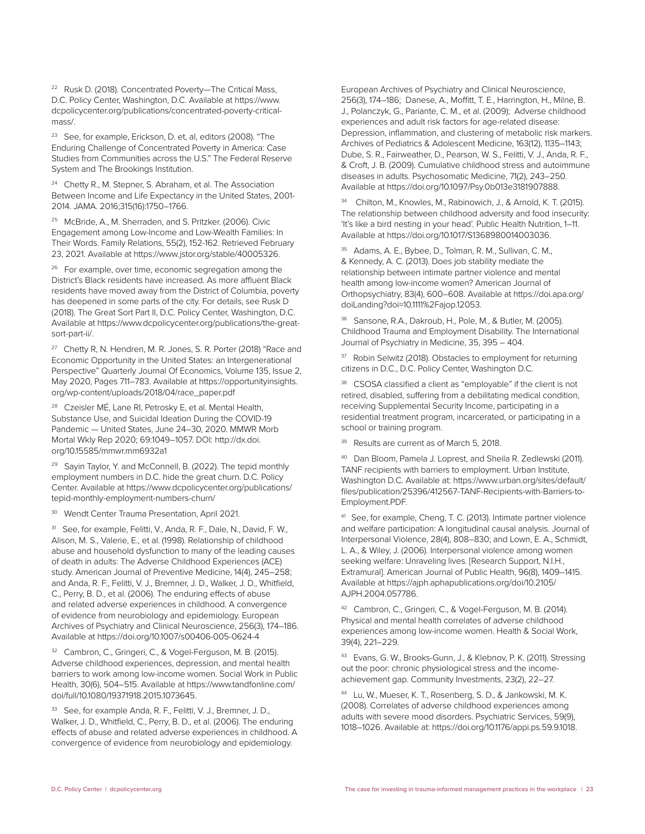22 Rusk D. (2018). Concentrated Poverty—The Critical Mass, D.C. Policy Center, Washington, D.C. Available at [https://www.](https://www.dcpolicycenter.org/publications/concentrated-poverty-critical-mass/) [dcpolicycenter.org/publications/concentrated-poverty-critical](https://www.dcpolicycenter.org/publications/concentrated-poverty-critical-mass/)[mass/.](https://www.dcpolicycenter.org/publications/concentrated-poverty-critical-mass/)

23 See, for example, Erickson, D. et, al, editors (2008). "[The](https://www.clevelandfed.org/en/newsroom-and-events/publications/special-reports/sr-20081024-the-enduring-challenge-of-concentrated-poverty-in-america.aspx)  [Enduring Challenge of Concentrated Poverty in America: Case](https://www.clevelandfed.org/en/newsroom-and-events/publications/special-reports/sr-20081024-the-enduring-challenge-of-concentrated-poverty-in-america.aspx)  [Studies from Communities across the U.S](https://www.clevelandfed.org/en/newsroom-and-events/publications/special-reports/sr-20081024-the-enduring-challenge-of-concentrated-poverty-in-america.aspx)." The Federal Reserve System and The Brookings Institution.

<sup>24</sup> Chetty R., M. Stepner, S. Abraham, et al. The Association [Between Income and Life Expectancy in the United States, 2001-](https://jamanetwork.com/journals/jama/article-abstract/2513561) [2014.](https://jamanetwork.com/journals/jama/article-abstract/2513561) JAMA. 2016;315(16):1750–1766.

25 McBride, A., M. Sherraden, and S. Pritzker. (2006). Civic Engagement among Low-Income and Low-Wealth Families: In Their Words. Family Relations, 55(2), 152-162. Retrieved February 23, 2021. Available at<https://www.jstor.org/stable/40005326>.

<sup>26</sup> For example, over time, economic segregation among the District's Black residents have increased. As more affluent Black residents have moved away from the District of Columbia, poverty has deepened in some parts of the city. For details, see Rusk D (2018). The Great Sort Part II, D.C. Policy Center, Washington, D.C. Available at [https://www.dcpolicycenter.org/publications/the-great](https://www.dcpolicycenter.org/publications/the-great-sort-part-ii/)[sort-part-ii/](https://www.dcpolicycenter.org/publications/the-great-sort-part-ii/).

27 Chetty R, N. Hendren, M. R. Jones, S. R. Porter (2018) "Race and Economic Opportunity in the United States: an Intergenerational Perspective" Quarterly Journal Of Economics, Volume 135, Issue 2, May 2020, Pages 711–783. Available at [https://opportunityinsights.](https://opportunityinsights.org/wp-content/uploads/2018/04/race_paper.pdf) [org/wp-content/uploads/2018/04/race\\_paper.pdf](https://opportunityinsights.org/wp-content/uploads/2018/04/race_paper.pdf)

28 Czeisler MÉ, Lane RI, Petrosky E, et al. Mental Health, Substance Use, and Suicidal Ideation During the COVID-19 Pandemic — United States, June 24–30, 2020. MMWR Morb Mortal Wkly Rep 2020; 69:1049–1057. DOI: [http://dx.doi.](http://dx.doi.org/10.15585/mmwr.mm6932a1) [org/10.15585/mmwr.mm6932a1](http://dx.doi.org/10.15585/mmwr.mm6932a1)

<sup>29</sup> Sayin Taylor, Y. and McConnell, B. (2022). The tepid monthly employment numbers in D.C. hide the great churn. D.C. Policy Center. Available at [https://www.dcpolicycenter.org/publications/](https://www.dcpolicycenter.org/publications/tepid-monthly-employment-numbers-churn/) [tepid-monthly-employment-numbers-churn/](https://www.dcpolicycenter.org/publications/tepid-monthly-employment-numbers-churn/)

<sup>30</sup> Wendt Center Trauma Presentation, April 2021.

<sup>31</sup> See, for example, Felitti, V., Anda, R. F., Dale, N., David, F. W., Alison, M. S., Valerie, E., et al. (1998). Relationship of childhood abuse and household dysfunction to many of the leading causes of death in adults: The Adverse Childhood Experiences (ACE) study. American Journal of Preventive Medicine, 14(4), 245–258; and Anda, R. F., Felitti, V. J., Bremner, J. D., Walker, J. D., Whitfield, C., Perry, B. D., et al. (2006). The enduring effects of abuse and related adverse experiences in childhood. A convergence of evidence from neurobiology and epidemiology. European Archives of Psychiatry and Clinical Neuroscience, 256(3), 174–186. Available at<https://doi.org/10.1007/s00406-005-0624-4>

<sup>32</sup> Cambron, C., Gringeri, C., & Vogel-Ferguson, M. B. (2015). Adverse childhood experiences, depression, and mental health barriers to work among low-income women. Social Work in Public Health, 30(6), 504–515. Available at [https://www.tandfonline.com/](https://www.tandfonline.com/doi/full/10.1080/19371918.2015.1073645) [doi/full/10.1080/19371918.2015.1073645](https://www.tandfonline.com/doi/full/10.1080/19371918.2015.1073645).

<sup>33</sup> See, for example Anda, R. F., Felitti, V. J., Bremner, J. D., Walker, J. D., Whitfield, C., Perry, B. D., et al. (2006). The enduring effects of abuse and related adverse experiences in childhood. A convergence of evidence from neurobiology and epidemiology.

European Archives of Psychiatry and Clinical Neuroscience, 256(3), 174–186; Danese, A., Moffitt, T. E., Harrington, H., Milne, B. J., Polanczyk, G., Pariante, C. M., et al. (2009); Adverse childhood experiences and adult risk factors for age-related disease: Depression, inflammation, and clustering of metabolic risk markers. Archives of Pediatrics & Adolescent Medicine, 163(12), 1135–1143; Dube, S. R., Fairweather, D., Pearson, W. S., Felitti, V. J., Anda, R. F., & Croft, J. B. (2009). Cumulative childhood stress and autoimmune diseases in adults. Psychosomatic Medicine, 71(2), 243–250. Available at [https://doi.org/10.1097/Psy.0b013e3181907888.](https://doi.org/10.1097/Psy.0b013e3181907888)

<sup>34</sup> Chilton, M., Knowles, M., Rabinowich, J., & Arnold, K. T. (2015). The relationship between childhood adversity and food insecurity: 'It's like a bird nesting in your head'. Public Health Nutrition, 1–11. Available at [https://doi.org/10.1017/S1368980014003036.](https://doi.org/10.1017/S1368980014003036)

35 Adams, A. E., Bybee, D., Tolman, R. M., Sullivan, C. M., & Kennedy, A. C. (2013). Does job stability mediate the relationship between intimate partner violence and mental health among low-income women? American Journal of Orthopsychiatry, 83(4), 600–608. Available at [https://doi.apa.org/](https://doi.apa.org/doiLanding?doi=10.1111%2Fajop.12053) [doiLanding?doi=10.1111%2Fajop.12053.](https://doi.apa.org/doiLanding?doi=10.1111%2Fajop.12053)

36 Sansone, R.A., Dakroub, H., Pole, M., & Butler, M. (2005). Childhood Trauma and Employment Disability. The International Journal of Psychiatry in Medicine, 35, 395 – 404.

<sup>37</sup> Robin Selwitz (2018). Obstacles to employment for returning [citizens in D.C.,](https://www.dcpolicycenter.org/publications/barriers-to-employment-for-returning-citizens-in-d-c/) D.C. Policy Center, Washington D.C.

<sup>38</sup> CSOSA classified a client as "employable" if the client is not retired, disabled, suffering from a debilitating medical condition, receiving Supplemental Security Income, participating in a residential treatment program, incarcerated, or participating in a school or training program.

<sup>39</sup> Results are current as of March 5, 2018.

<sup>40</sup> Dan Bloom, Pamela J. Loprest, and Sheila R. Zedlewski (2011). TANF recipients with barriers to employment. Urban Institute, Washington D.C. Available at: [https://www.urban.org/sites/default/](https://www.urban.org/sites/default/files/publication/25396/412567-TANF-Recipients-with-Barriers-to-Employment.PDF) [files/publication/25396/412567-TANF-Recipients-with-Barriers-to-](https://www.urban.org/sites/default/files/publication/25396/412567-TANF-Recipients-with-Barriers-to-Employment.PDF)[Employment.PDF](https://www.urban.org/sites/default/files/publication/25396/412567-TANF-Recipients-with-Barriers-to-Employment.PDF).

41 See, for example, Cheng, T. C. (2013). Intimate partner violence and welfare participation: A longitudinal causal analysis. Journal of Interpersonal Violence, 28(4), 808–830; and Lown, E. A., Schmidt, L. A., & Wiley, J. (2006). Interpersonal violence among women seeking welfare: Unraveling lives. [Research Support, N.I.H., Extramural]. American Journal of Public Health, 96(8), 1409–1415. Available at [https://ajph.aphapublications.org/doi/10.2105/](https://ajph.aphapublications.org/doi/10.2105/AJPH.2004.057786) [AJPH.2004.057786](https://ajph.aphapublications.org/doi/10.2105/AJPH.2004.057786).

42 Cambron, C., Gringeri, C., & Vogel-Ferguson, M. B. (2014). Physical and mental health correlates of adverse childhood experiences among low-income women. Health & Social Work, 39(4), 221–229.

43 Evans, G. W., Brooks-Gunn, J., & Klebnov, P. K. (2011). Stressing out the poor: chronic physiological stress and the incomeachievement gap. Community Investments, 23(2), 22–27.

44 Lu, W., Mueser, K. T., Rosenberg, S. D., & Jankowski, M. K. (2008). Correlates of adverse childhood experiences among adults with severe mood disorders. Psychiatric Services, 59(9), 1018–1026. Available at:<https://doi.org/10.1176/appi.ps.59.9.1018>.